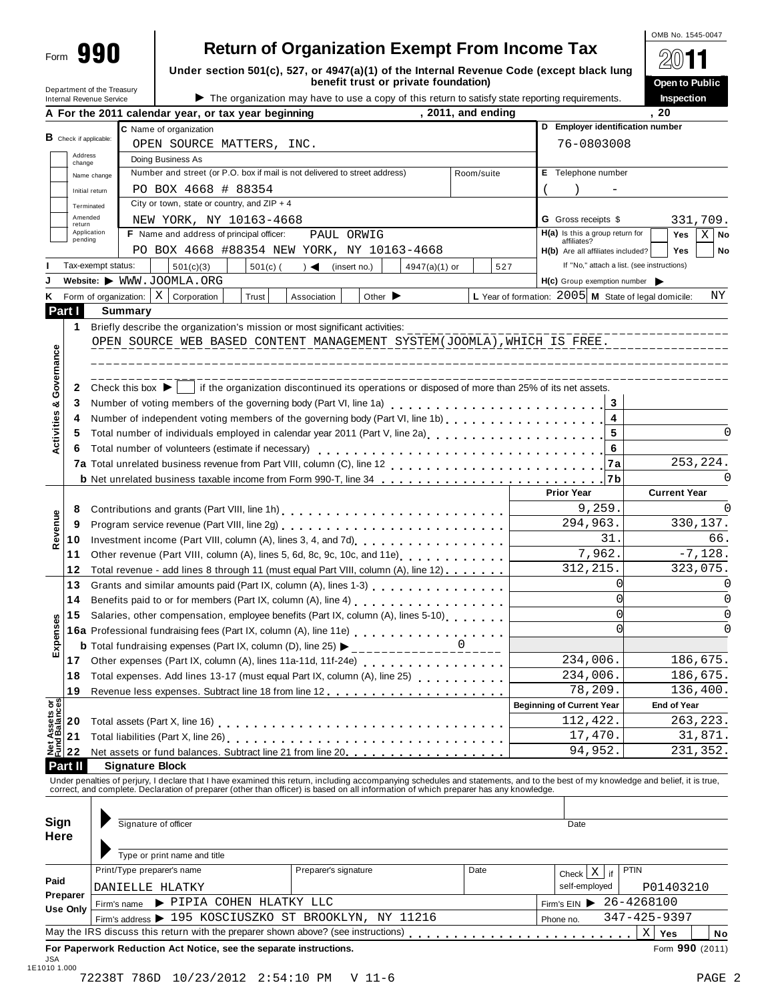| orm | TOT<br>I<br>г |
|-----|---------------|
|     |               |
|     |               |
|     |               |
|     |               |
|     |               |
|     |               |
|     |               |

## **890 | Return of Organization Exempt From Income Tax**

**Under section 501(c), 527, or 4947(a)(1) of the Internal Revenue Code (except black lung benefit trust or private foundation)**

|                                                              | A For the 2011 calendar year, or tax year beginning | , 2011, and ending                                                                              |
|--------------------------------------------------------------|-----------------------------------------------------|-------------------------------------------------------------------------------------------------|
| <b>Department of the Heasury</b><br>Internal Revenue Service |                                                     | The organization may have to use a copy of this return to satisfy state reporting requirements. |

|                                                                                                                                                                                                                                                                                                                                     | Under section 501(c), 527, or 4947(a)(1) of the Internal Revenue Code (except black lung                               |                                                                                  |            |                                                | — س —                        |
|-------------------------------------------------------------------------------------------------------------------------------------------------------------------------------------------------------------------------------------------------------------------------------------------------------------------------------------|------------------------------------------------------------------------------------------------------------------------|----------------------------------------------------------------------------------|------------|------------------------------------------------|------------------------------|
|                                                                                                                                                                                                                                                                                                                                     |                                                                                                                        |                                                                                  |            |                                                | Open to Public<br>Inspection |
| benefit trust or private foundation)<br>Department of the Treasury<br>The organization may have to use a copy of this return to satisfy state reporting requirements.<br>Internal Revenue Service<br>2011, and ending<br>A For the 2011 calendar year, or tax year beginning<br>C Name of organization<br>OPEN SOURCE MATTERS, INC. |                                                                                                                        |                                                                                  | 20         |                                                |                              |
| $B$ Check if applicable:<br>Address                                                                                                                                                                                                                                                                                                 |                                                                                                                        |                                                                                  |            | D Employer identification number<br>76-0803008 |                              |
| change<br>Name change                                                                                                                                                                                                                                                                                                               | Doing Business As<br>Number and street (or P.O. box if mail is not delivered to street address)                        |                                                                                  | Room/suite | <b>E</b> Telephone number                      |                              |
| Initial return<br>Terminated                                                                                                                                                                                                                                                                                                        | PO BOX 4668 # 88354<br>City or town, state or country, and $ZIP + 4$                                                   |                                                                                  |            |                                                |                              |
| Amended<br>return<br>Application                                                                                                                                                                                                                                                                                                    | NEW YORK, NY 10163-4668<br>$\blacksquare$ . A figure to the set of states and a state of the state of $H$ and $\omega$ | <b>G</b> Gross receipts \$<br>$\mathbf{H}(\mathbf{a})$ is the second second fact |            |                                                | 331,709.<br>$\sim$           |

OMB No. 1545-0047

 $@$   $@$ 

|                                |                   | PO BOX 4668 # 88354<br>Initial return                                                                                                                                                                                          |                                                       |                                  |
|--------------------------------|-------------------|--------------------------------------------------------------------------------------------------------------------------------------------------------------------------------------------------------------------------------|-------------------------------------------------------|----------------------------------|
|                                |                   | City or town, state or country, and $ZIP + 4$<br>Terminated                                                                                                                                                                    |                                                       |                                  |
|                                | Amended<br>return | NEW YORK, NY 10163-4668                                                                                                                                                                                                        | <b>G</b> Gross receipts \$                            | 331,709.                         |
|                                | pending           | Application<br>F Name and address of principal officer:<br>PAUL ORWIG                                                                                                                                                          | $H(a)$ is this a group return for<br>affiliates?      | Yes<br>$\mathbf{x}$<br><b>No</b> |
|                                |                   | PO BOX 4668 #88354 NEW YORK, NY 10163-4668                                                                                                                                                                                     | Yes<br><b>No</b><br>H(b) Are all affiliates included? |                                  |
|                                |                   | Tax-exempt status:<br>501(c)(3)<br>$501(c)$ (<br>$) \triangleleft$ (insert no.)<br>4947(a)(1) or<br>527                                                                                                                        | If "No," attach a list. (see instructions)            |                                  |
|                                |                   | Website: WWW.JOOMLA.ORG                                                                                                                                                                                                        | H(c) Group exemption number                           |                                  |
| Κ                              |                   | Form of organization: $\mid X \mid$ Corporation<br>Other $\blacktriangleright$<br>Trust<br>Association                                                                                                                         | L Year of formation: 2005 M State of legal domicile:  | ΝY                               |
|                                | Part I            | <b>Summary</b>                                                                                                                                                                                                                 |                                                       |                                  |
|                                | 1                 |                                                                                                                                                                                                                                |                                                       |                                  |
|                                |                   | OPEN SOURCE WEB BASED CONTENT MANAGEMENT SYSTEM(JOOMLA), WHICH IS FREE.                                                                                                                                                        |                                                       |                                  |
|                                |                   |                                                                                                                                                                                                                                |                                                       |                                  |
| Governance                     |                   |                                                                                                                                                                                                                                |                                                       |                                  |
|                                | 2                 | Check this box $\blacktriangleright$<br>if the organization discontinued its operations or disposed of more than 25% of its net assets.                                                                                        |                                                       |                                  |
| ಯ                              | 3                 |                                                                                                                                                                                                                                | 3                                                     |                                  |
|                                | 4                 | Number of independent voting members of the governing body (Part VI, line 1b)<br>Number of independent voting members of the governing body (Part VI, line 1b)                                                                 | $\overline{\mathbf{4}}$                               |                                  |
| Activities                     | 5                 | Total number of individuals employed in calendar year 2011 (Part V, line 2a)<br>The 2a)                                                                                                                                        | 5                                                     | O                                |
|                                | 6                 |                                                                                                                                                                                                                                | 6                                                     |                                  |
|                                |                   |                                                                                                                                                                                                                                | 7a                                                    | 253, 224.                        |
|                                |                   | <b>b</b> Net unrelated business taxable income from Form 990-T, line 34 <b>charage assets</b> in the unrelated business taxable income from Form 990-T, line 34 <b>c</b>                                                       | 7 <sub>b</sub>                                        | O                                |
|                                |                   |                                                                                                                                                                                                                                | <b>Prior Year</b>                                     | <b>Current Year</b>              |
|                                | 8                 | Contributions and grants (Part VIII, line 1h)<br>                                                                                                                                                                              | 9.259                                                 | O                                |
|                                | 9                 |                                                                                                                                                                                                                                | 294,963.                                              | 330,137.                         |
| Revenue                        | 10                | Investment income (Part VIII, column (A), lines 3, 4, and 7d)<br>                                                                                                                                                              | 31                                                    | 66.                              |
|                                | 11                | Other revenue (Part VIII, column (A), lines 5, 6d, 8c, 9c, 10c, and 11e).                                                                                                                                                      | 7,962.                                                | $-7,128.$                        |
|                                | 12                | Total revenue - add lines 8 through 11 (must equal Part VIII, column (A), line 12)                                                                                                                                             | 312, 215.                                             | 323,075.                         |
|                                | 13                | Grants and similar amounts paid (Part IX, column (A), lines 1-3)<br><sub>1111</sub> , $\cdots$ , $\cdots$ , $\cdots$ , $\cdots$ , $\cdots$                                                                                     | $\Omega$                                              | O                                |
|                                | 14                | Benefits paid to or for members (Part IX, column (A), line 4)                                                                                                                                                                  | $\Omega$                                              | 0                                |
|                                | 15                | Salaries, other compensation, employee benefits (Part IX, column (A), lines 5-10)                                                                                                                                              | $\Omega$                                              | $\Omega$                         |
|                                |                   | 16a Professional fundraising fees (Part IX, column (A), line 11e)<br>16a Professional fundraising fees (Part IX, column (A), line 11e)                                                                                         |                                                       | ∩                                |
| Expenses                       |                   | <b>b</b> Total fundraising expenses (Part IX, column (D), line 25) $\rightarrow$ _______________0                                                                                                                              |                                                       |                                  |
|                                | 17                |                                                                                                                                                                                                                                | 234,006.                                              | 186,675.                         |
|                                | 18                | Total expenses. Add lines 13-17 (must equal Part IX, column (A), line 25)                                                                                                                                                      | 234,006.                                              | 186,675.                         |
|                                | 19                |                                                                                                                                                                                                                                | 78,209.                                               | 136,400.                         |
|                                |                   |                                                                                                                                                                                                                                | <b>Beginning of Current Year</b>                      | <b>End of Year</b>               |
| Net Assets or<br>Fund Balances | 20                |                                                                                                                                                                                                                                | 112,422.                                              | 263, 223.                        |
|                                | 21                |                                                                                                                                                                                                                                | 17,470.                                               | 31,871.                          |
|                                | 22                |                                                                                                                                                                                                                                | 94,952.                                               | 231,352.                         |
|                                | <b>Part II</b>    | <b>Signature Block</b>                                                                                                                                                                                                         |                                                       |                                  |
|                                |                   | Under penalties of perjury, I declare that I have examined this return, including accompanying schedules and statements, and to the best of my knowledge and belief, it is true, correct, and complete. Declaration of prepare |                                                       |                                  |
|                                |                   |                                                                                                                                                                                                                                |                                                       |                                  |
|                                |                   |                                                                                                                                                                                                                                |                                                       |                                  |
| Sign                           |                   | Signature of officer                                                                                                                                                                                                           | Date                                                  |                                  |

| Here                 | Type or print name and title                                                      |                      |      |                                             |
|----------------------|-----------------------------------------------------------------------------------|----------------------|------|---------------------------------------------|
| Paid                 | Print/Type preparer's name                                                        | Preparer's signature | Date | <b>PTIN</b><br>if<br>Check<br>self-employed |
| Preparer<br>Use Only | DANIELLE HLATKY<br>Firm's name > PIPIA COHEN HLATKY LLC                           |                      |      | P01403210<br>$\text{Firm's EIN}$ 26-4268100 |
|                      | Firm's address > 195 KOSCIUSZKO ST BROOKLYN, NY 11216                             |                      |      | 347-425-9397<br>Phone no.                   |
|                      | May the IRS discuss this return with the preparer shown above? (see instructions) |                      |      | Х<br>Yes<br>No                              |
|                      | For Paperwork Reduction Act Notice, see the separate instructions.                |                      |      | Form 990 (2011)                             |

**Here**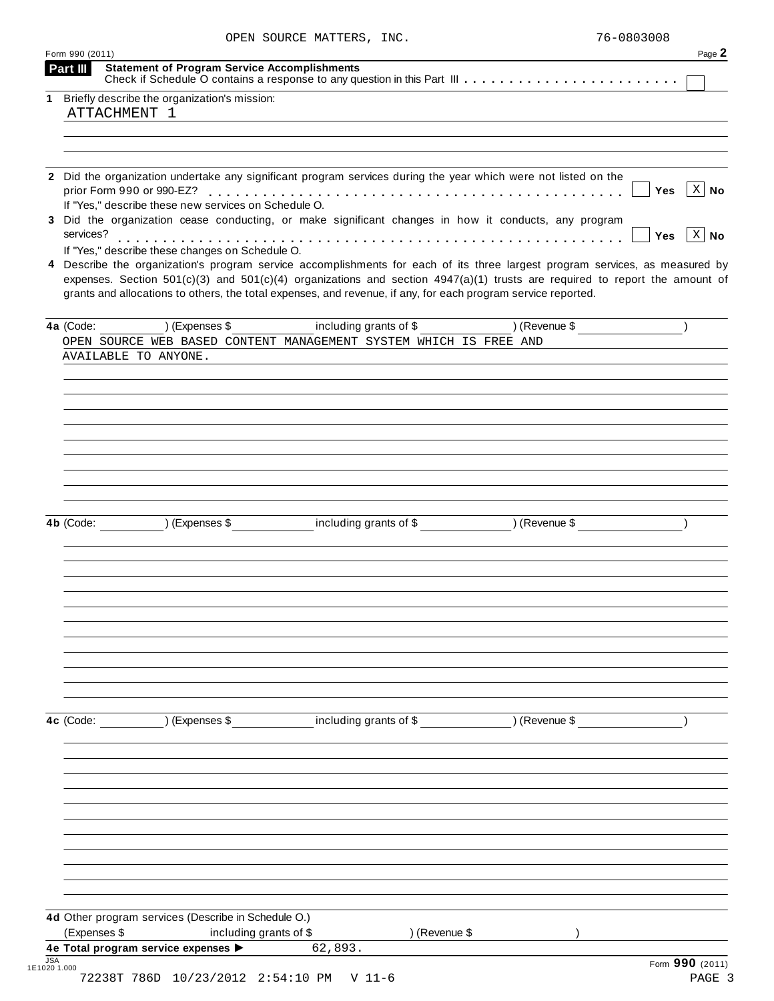| OPEN SOURCE MATTERS, INC. | 76-0803008 |
|---------------------------|------------|
|                           |            |

|                                                     | 1 Briefly describe the organization's mission:       |                                                                                                                                                                                                                                                   |               |                             |
|-----------------------------------------------------|------------------------------------------------------|---------------------------------------------------------------------------------------------------------------------------------------------------------------------------------------------------------------------------------------------------|---------------|-----------------------------|
| ATTACHMENT 1                                        |                                                      |                                                                                                                                                                                                                                                   |               |                             |
|                                                     |                                                      |                                                                                                                                                                                                                                                   |               |                             |
|                                                     |                                                      |                                                                                                                                                                                                                                                   |               |                             |
| prior Form 990 or 990-EZ?                           | If "Yes," describe these new services on Schedule O. | 2 Did the organization undertake any significant program services during the year which were not listed on the                                                                                                                                    |               | $\vert$ X $\vert$ No<br>Yes |
| services?                                           |                                                      | 3 Did the organization cease conducting, or make significant changes in how it conducts, any program                                                                                                                                              |               | $\vert$ X $\vert$ No<br>Yes |
|                                                     | If "Yes," describe these changes on Schedule O.      | 4 Describe the organization's program service accomplishments for each of its three largest program services, as measured by                                                                                                                      |               |                             |
|                                                     |                                                      | expenses. Section $501(c)(3)$ and $501(c)(4)$ organizations and section $4947(a)(1)$ trusts are required to report the amount of<br>grants and allocations to others, the total expenses, and revenue, if any, for each program service reported. |               |                             |
| 4a (Code:                                           | ) (Expenses \$                                       | including grants of \$                                                                                                                                                                                                                            | ) (Revenue \$ |                             |
| AVAILABLE TO ANYONE.                                |                                                      | OPEN SOURCE WEB BASED CONTENT MANAGEMENT SYSTEM WHICH IS FREE AND                                                                                                                                                                                 |               |                             |
|                                                     |                                                      |                                                                                                                                                                                                                                                   |               |                             |
|                                                     |                                                      |                                                                                                                                                                                                                                                   |               |                             |
|                                                     |                                                      |                                                                                                                                                                                                                                                   |               |                             |
|                                                     |                                                      |                                                                                                                                                                                                                                                   |               |                             |
|                                                     |                                                      |                                                                                                                                                                                                                                                   |               |                             |
|                                                     |                                                      |                                                                                                                                                                                                                                                   |               |                             |
|                                                     |                                                      |                                                                                                                                                                                                                                                   |               |                             |
|                                                     |                                                      |                                                                                                                                                                                                                                                   |               |                             |
|                                                     | 4b (Code: ) (Expenses \$                             | including grants of \$ (Revenue \$)                                                                                                                                                                                                               |               |                             |
|                                                     |                                                      |                                                                                                                                                                                                                                                   |               |                             |
|                                                     |                                                      |                                                                                                                                                                                                                                                   |               |                             |
|                                                     |                                                      |                                                                                                                                                                                                                                                   |               |                             |
|                                                     |                                                      |                                                                                                                                                                                                                                                   |               |                             |
|                                                     |                                                      |                                                                                                                                                                                                                                                   |               |                             |
|                                                     |                                                      |                                                                                                                                                                                                                                                   |               |                             |
|                                                     |                                                      |                                                                                                                                                                                                                                                   |               |                             |
|                                                     |                                                      |                                                                                                                                                                                                                                                   |               |                             |
|                                                     |                                                      |                                                                                                                                                                                                                                                   |               |                             |
|                                                     | ) (Expenses \$                                       | including grants of \$                                                                                                                                                                                                                            | ) (Revenue \$ |                             |
| 4c (Code:                                           |                                                      |                                                                                                                                                                                                                                                   |               |                             |
|                                                     |                                                      |                                                                                                                                                                                                                                                   |               |                             |
|                                                     |                                                      |                                                                                                                                                                                                                                                   |               |                             |
|                                                     |                                                      |                                                                                                                                                                                                                                                   |               |                             |
|                                                     |                                                      |                                                                                                                                                                                                                                                   |               |                             |
|                                                     |                                                      |                                                                                                                                                                                                                                                   |               |                             |
|                                                     |                                                      |                                                                                                                                                                                                                                                   |               |                             |
|                                                     |                                                      |                                                                                                                                                                                                                                                   |               |                             |
|                                                     |                                                      |                                                                                                                                                                                                                                                   |               |                             |
|                                                     |                                                      |                                                                                                                                                                                                                                                   |               |                             |
|                                                     | 4d Other program services (Describe in Schedule O.)  |                                                                                                                                                                                                                                                   |               |                             |
|                                                     | including grants of \$                               | ) (Revenue \$                                                                                                                                                                                                                                     |               |                             |
| (Expenses \$<br>4e Total program service expenses > |                                                      | 62,893.                                                                                                                                                                                                                                           |               |                             |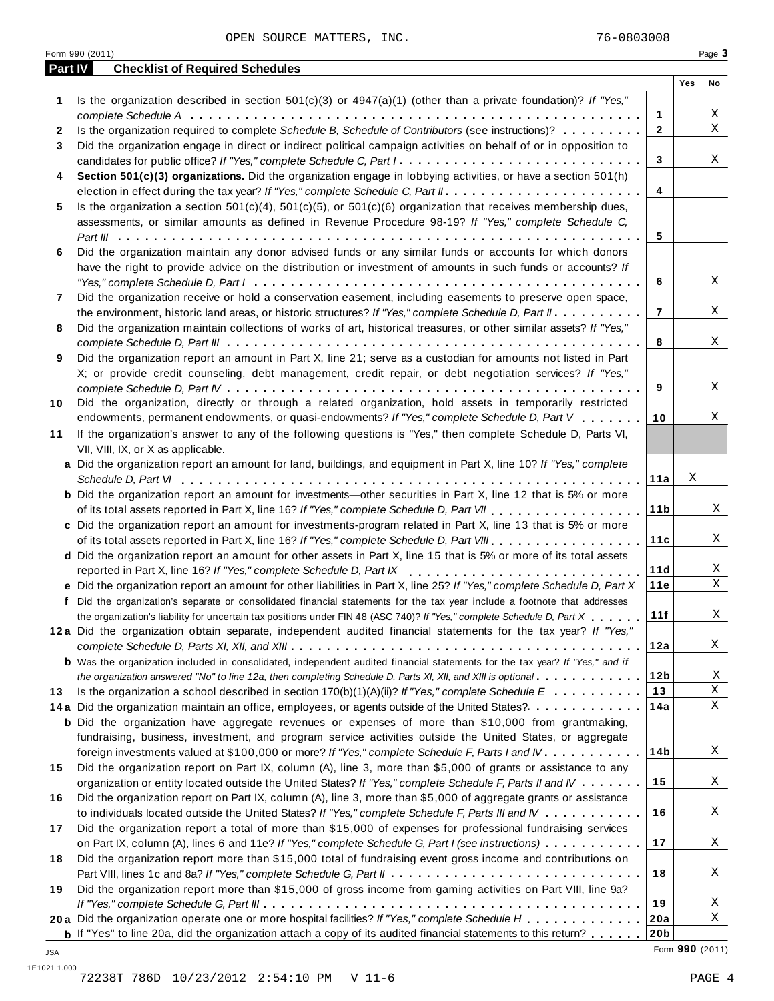|         | Form 990 (2011)                                                                                                                                                                                                                      |     | Page 3      |
|---------|--------------------------------------------------------------------------------------------------------------------------------------------------------------------------------------------------------------------------------------|-----|-------------|
| Part IV | <b>Checklist of Required Schedules</b>                                                                                                                                                                                               |     |             |
|         |                                                                                                                                                                                                                                      | Yes | No          |
| 1       | Is the organization described in section $501(c)(3)$ or $4947(a)(1)$ (other than a private foundation)? If "Yes,"                                                                                                                    |     |             |
|         | 1                                                                                                                                                                                                                                    |     | Χ           |
| 2       | Is the organization required to complete Schedule B, Schedule of Contributors (see instructions)?<br>$\overline{2}$                                                                                                                  |     | $\mathbf X$ |
| 3       | Did the organization engage in direct or indirect political campaign activities on behalf of or in opposition to                                                                                                                     |     |             |
|         | 3<br>candidates for public office? If "Yes," complete Schedule C, Part I.                                                                                                                                                            |     | X           |
| 4       | Section 501(c)(3) organizations. Did the organization engage in lobbying activities, or have a section 501(h)                                                                                                                        |     |             |
|         | 4                                                                                                                                                                                                                                    |     |             |
| 5       | Is the organization a section $501(c)(4)$ , $501(c)(5)$ , or $501(c)(6)$ organization that receives membership dues,                                                                                                                 |     |             |
|         | assessments, or similar amounts as defined in Revenue Procedure 98-19? If "Yes," complete Schedule C,                                                                                                                                |     |             |
|         | 5                                                                                                                                                                                                                                    |     |             |
| 6       | Did the organization maintain any donor advised funds or any similar funds or accounts for which donors                                                                                                                              |     |             |
|         | have the right to provide advice on the distribution or investment of amounts in such funds or accounts? If                                                                                                                          |     |             |
|         | 6                                                                                                                                                                                                                                    |     | Χ           |
| 7       | Did the organization receive or hold a conservation easement, including easements to preserve open space,                                                                                                                            |     |             |
|         | $\overline{7}$<br>the environment, historic land areas, or historic structures? If "Yes," complete Schedule D, Part II.                                                                                                              |     | X           |
| 8       | Did the organization maintain collections of works of art, historical treasures, or other similar assets? If "Yes,"                                                                                                                  |     |             |
|         | 8                                                                                                                                                                                                                                    |     | Χ           |
| 9       | Did the organization report an amount in Part X, line 21; serve as a custodian for amounts not listed in Part                                                                                                                        |     |             |
|         | X; or provide credit counseling, debt management, credit repair, or debt negotiation services? If "Yes,"                                                                                                                             |     |             |
|         | 9                                                                                                                                                                                                                                    |     | Χ           |
| 10      | Did the organization, directly or through a related organization, hold assets in temporarily restricted                                                                                                                              |     |             |
|         | endowments, permanent endowments, or quasi-endowments? If "Yes," complete Schedule D, Part V<br>10                                                                                                                                   |     | Χ           |
| 11      | If the organization's answer to any of the following questions is "Yes," then complete Schedule D, Parts VI,                                                                                                                         |     |             |
|         | VII, VIII, IX, or X as applicable.                                                                                                                                                                                                   |     |             |
|         | a Did the organization report an amount for land, buildings, and equipment in Part X, line 10? If "Yes," complete                                                                                                                    |     |             |
|         | 11a                                                                                                                                                                                                                                  | Χ   |             |
|         |                                                                                                                                                                                                                                      |     |             |
|         | <b>b</b> Did the organization report an amount for investments—other securities in Part X, line 12 that is 5% or more<br>11 <sub>b</sub><br>of its total assets reported in Part X, line 16? If "Yes," complete Schedule D, Part VII |     | Χ           |
|         |                                                                                                                                                                                                                                      |     |             |
|         | c Did the organization report an amount for investments-program related in Part X, line 13 that is 5% or more                                                                                                                        |     |             |
|         | 11c                                                                                                                                                                                                                                  |     | Χ           |
|         | d Did the organization report an amount for other assets in Part X, line 15 that is 5% or more of its total assets                                                                                                                   |     |             |
|         | 11d<br>reported in Part X, line 16? If "Yes," complete Schedule D, Part IX                                                                                                                                                           |     | Χ           |
|         | e Did the organization report an amount for other liabilities in Part X, line 25? If "Yes," complete Schedule D, Part X<br>11e                                                                                                       |     | X           |
|         | f Did the organization's separate or consolidated financial statements for the tax year include a footnote that addresses                                                                                                            |     |             |
|         | 11f<br>the organization's liability for uncertain tax positions under FIN 48 (ASC 740)? If "Yes," complete Schedule D, Part X                                                                                                        |     | Χ           |
|         | 12a Did the organization obtain separate, independent audited financial statements for the tax year? If "Yes,"                                                                                                                       |     |             |
|         | 12a                                                                                                                                                                                                                                  |     | X           |
|         | <b>b</b> Was the organization included in consolidated, independent audited financial statements for the tax year? If "Yes," and if                                                                                                  |     |             |
|         | 12 <sub>b</sub><br>the organization answered "No" to line 12a, then completing Schedule D, Parts XI, XII, and XIII is optional                                                                                                       |     | Χ           |
| 13      | 13<br>Is the organization a school described in section $170(b)(1)(A)(ii)?$ If "Yes," complete Schedule E                                                                                                                            |     | X           |
|         | 14a<br>14a Did the organization maintain an office, employees, or agents outside of the United States?                                                                                                                               |     | X           |
|         | <b>b</b> Did the organization have aggregate revenues or expenses of more than \$10,000 from grantmaking,                                                                                                                            |     |             |
|         | fundraising, business, investment, and program service activities outside the United States, or aggregate                                                                                                                            |     |             |
|         | 14b<br>foreign investments valued at \$100,000 or more? If "Yes," complete Schedule F, Parts I and IV                                                                                                                                |     | Χ           |
| 15      | Did the organization report on Part IX, column (A), line 3, more than \$5,000 of grants or assistance to any                                                                                                                         |     |             |
|         | 15<br>organization or entity located outside the United States? If "Yes," complete Schedule F, Parts II and IV                                                                                                                       |     | X           |
| 16      | Did the organization report on Part IX, column (A), line 3, more than \$5,000 of aggregate grants or assistance                                                                                                                      |     |             |
|         | 16<br>to individuals located outside the United States? If "Yes," complete Schedule F, Parts III and IV                                                                                                                              |     | X           |
| 17      | Did the organization report a total of more than \$15,000 of expenses for professional fundraising services                                                                                                                          |     |             |
|         | 17<br>on Part IX, column (A), lines 6 and 11e? If "Yes," complete Schedule G, Part I (see instructions)                                                                                                                              |     | X           |
| 18      | Did the organization report more than \$15,000 total of fundraising event gross income and contributions on                                                                                                                          |     |             |
|         | 18                                                                                                                                                                                                                                   |     | X           |
| 19      | Did the organization report more than \$15,000 of gross income from gaming activities on Part VIII, line 9a?                                                                                                                         |     |             |
|         | 19                                                                                                                                                                                                                                   |     | Χ           |
|         | 20a Did the organization operate one or more hospital facilities? If "Yes," complete Schedule H<br>20a                                                                                                                               |     | Χ           |
|         | 20 <sub>b</sub><br><b>b</b> If "Yes" to line 20a, did the organization attach a copy of its audited financial statements to this return?                                                                                             |     |             |
|         |                                                                                                                                                                                                                                      |     |             |

**20b** Form **990** (2011) JSA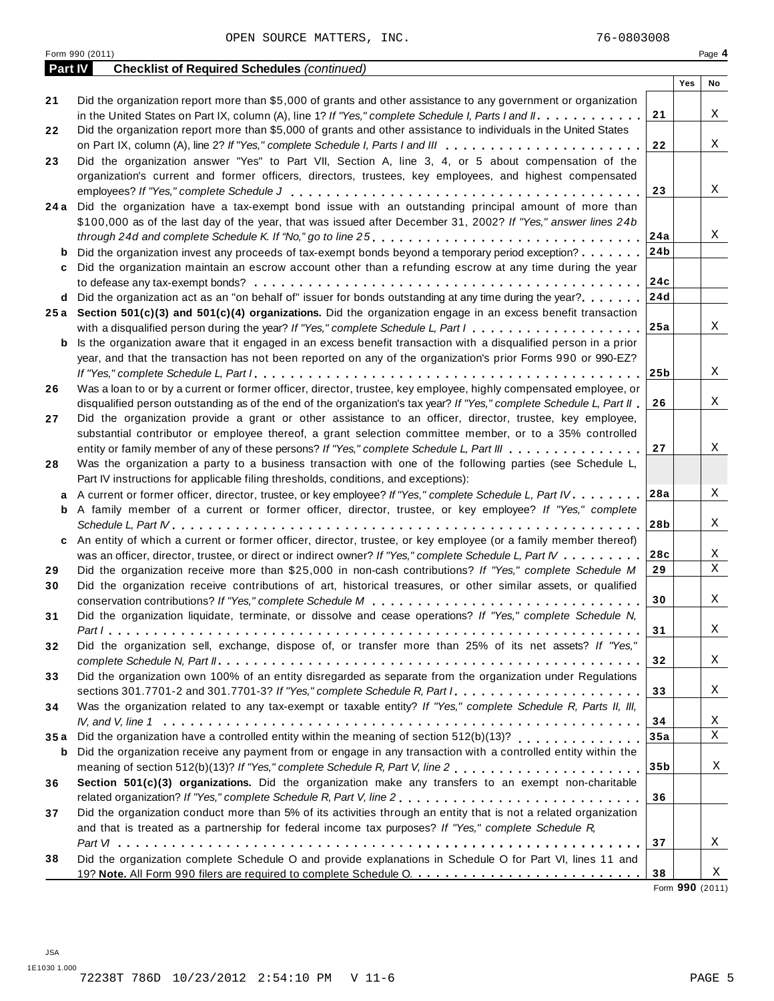| <b>JSA</b>   |  |                                          |        |
|--------------|--|------------------------------------------|--------|
| 1E1030 1.000 |  |                                          |        |
|              |  | 72238T 786D 10/23/2012 2:54:10 PM V 11-6 | PAGE 5 |

|         | Form 990 (2011)                                                                                                      |                 |     | Page 4 |
|---------|----------------------------------------------------------------------------------------------------------------------|-----------------|-----|--------|
| Part IV | <b>Checklist of Required Schedules (continued)</b>                                                                   |                 |     |        |
|         |                                                                                                                      |                 | Yes | No     |
| 21      | Did the organization report more than \$5,000 of grants and other assistance to any government or organization       |                 |     |        |
|         | in the United States on Part IX, column (A), line 1? If "Yes," complete Schedule I, Parts I and II.                  | 21              |     | X      |
| 22      | Did the organization report more than \$5,000 of grants and other assistance to individuals in the United States     |                 |     |        |
|         |                                                                                                                      | 22              |     | Χ      |
| 23      | Did the organization answer "Yes" to Part VII, Section A, line 3, 4, or 5 about compensation of the                  |                 |     |        |
|         | organization's current and former officers, directors, trustees, key employees, and highest compensated              |                 |     |        |
|         |                                                                                                                      | 23              |     | X      |
| 24 a    | Did the organization have a tax-exempt bond issue with an outstanding principal amount of more than                  |                 |     |        |
|         |                                                                                                                      |                 |     |        |
|         | \$100,000 as of the last day of the year, that was issued after December 31, 2002? If "Yes," answer lines 24b        |                 |     | X      |
|         |                                                                                                                      | 24a             |     |        |
| b       | Did the organization invest any proceeds of tax-exempt bonds beyond a temporary period exception?                    | 24 <sub>b</sub> |     |        |
| c       | Did the organization maintain an escrow account other than a refunding escrow at any time during the year            |                 |     |        |
|         |                                                                                                                      | 24c             |     |        |
|         | d Did the organization act as an "on behalf of" issuer for bonds outstanding at any time during the year?            | 24d             |     |        |
|         | 25a Section 501(c)(3) and 501(c)(4) organizations. Did the organization engage in an excess benefit transaction      |                 |     |        |
|         |                                                                                                                      | 25a             |     | X      |
| b       | Is the organization aware that it engaged in an excess benefit transaction with a disqualified person in a prior     |                 |     |        |
|         | year, and that the transaction has not been reported on any of the organization's prior Forms 990 or 990-EZ?         |                 |     |        |
|         |                                                                                                                      | 25 <sub>b</sub> |     | X      |
| 26      | Was a loan to or by a current or former officer, director, trustee, key employee, highly compensated employee, or    |                 |     |        |
|         | disqualified person outstanding as of the end of the organization's tax year? If "Yes," complete Schedule L, Part II | 26              |     | X      |
|         |                                                                                                                      |                 |     |        |
| 27      | Did the organization provide a grant or other assistance to an officer, director, trustee, key employee,             |                 |     |        |
|         | substantial contributor or employee thereof, a grant selection committee member, or to a 35% controlled              |                 |     |        |
|         | entity or family member of any of these persons? If "Yes," complete Schedule L, Part III                             | 27              |     | Χ      |
| 28      | Was the organization a party to a business transaction with one of the following parties (see Schedule L,            |                 |     |        |
|         | Part IV instructions for applicable filing thresholds, conditions, and exceptions):                                  |                 |     |        |
| a       | A current or former officer, director, trustee, or key employee? If "Yes," complete Schedule L, Part IV.             | 28a             |     | Χ      |
| b       | A family member of a current or former officer, director, trustee, or key employee? If "Yes," complete               |                 |     |        |
|         |                                                                                                                      | 28b             |     | X      |
| c       | An entity of which a current or former officer, director, trustee, or key employee (or a family member thereof)      |                 |     |        |
|         | was an officer, director, trustee, or direct or indirect owner? If "Yes," complete Schedule L, Part IV               | 28c             |     | X      |
| 29      | Did the organization receive more than \$25,000 in non-cash contributions? If "Yes," complete Schedule M             | 29              |     | X      |
|         |                                                                                                                      |                 |     |        |
| 30      | Did the organization receive contributions of art, historical treasures, or other similar assets, or qualified       |                 |     |        |
|         |                                                                                                                      | 30              |     | Χ      |
| 31      | Did the organization liquidate, terminate, or dissolve and cease operations? If "Yes," complete Schedule N,          |                 |     |        |
|         |                                                                                                                      | 31              |     | X      |
| 32      | Did the organization sell, exchange, dispose of, or transfer more than 25% of its net assets? If "Yes,"              |                 |     |        |
|         |                                                                                                                      | 32              |     | X      |
| 33      | Did the organization own 100% of an entity disregarded as separate from the organization under Regulations           |                 |     |        |
|         | sections 301.7701-2 and 301.7701-3? If "Yes," complete Schedule R, Part I.                                           | 33              |     | X      |
| 34      | Was the organization related to any tax-exempt or taxable entity? If "Yes," complete Schedule R, Parts II, III,      |                 |     |        |
|         |                                                                                                                      | 34              |     | X      |
| 35a     | Did the organization have a controlled entity within the meaning of section 512(b)(13)?                              | 35a             |     | X      |
| b       | Did the organization receive any payment from or engage in any transaction with a controlled entity within the       |                 |     |        |
|         |                                                                                                                      | 35 <sub>b</sub> |     | X      |
|         |                                                                                                                      |                 |     |        |
| 36      | Section 501(c)(3) organizations. Did the organization make any transfers to an exempt non-charitable                 |                 |     |        |
|         | related organization? If "Yes," complete Schedule R, Part V, line 2                                                  | 36              |     |        |
| 37      | Did the organization conduct more than 5% of its activities through an entity that is not a related organization     |                 |     |        |
|         | and that is treated as a partnership for federal income tax purposes? If "Yes," complete Schedule $R$ ,              |                 |     |        |
|         |                                                                                                                      | 37              |     | X      |
| 38      | Did the organization complete Schedule O and provide explanations in Schedule O for Part VI, lines 11 and            |                 |     |        |
|         |                                                                                                                      | 38              |     | Χ      |

**38** Form **990** (2011)

| $F_{\alpha r m}$ 000 (2011) |  |  |
|-----------------------------|--|--|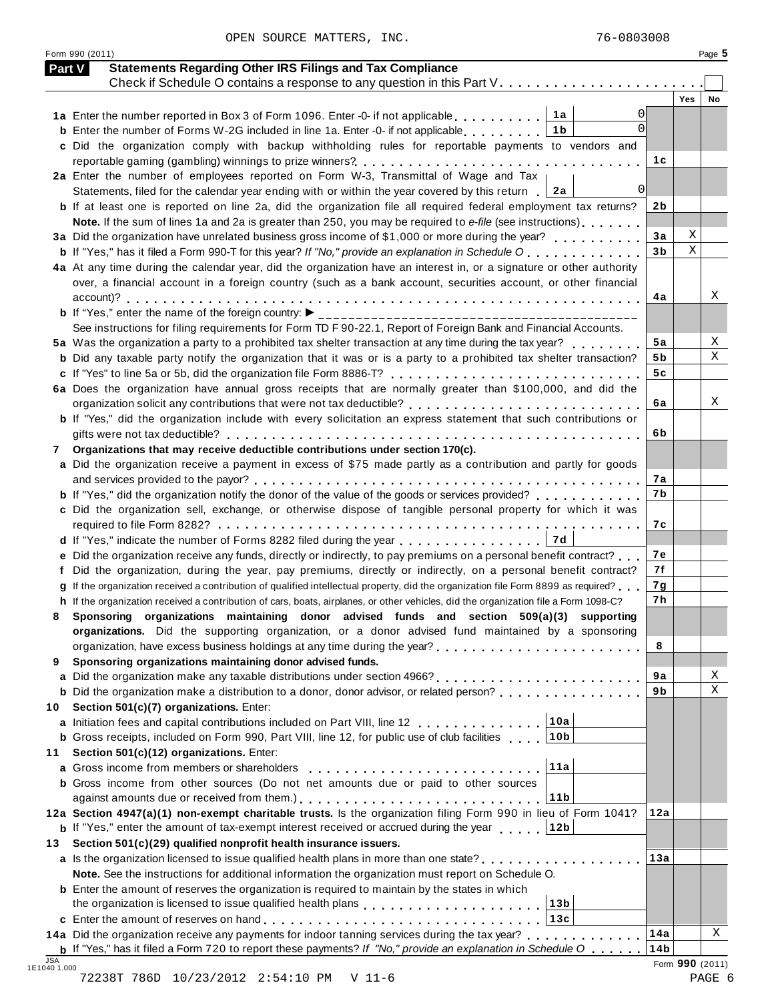Form 990 (2011) Page **5**

|          | <b>Statements Regarding Other IRS Filings and Tax Compliance</b><br>Part V                                                                                                        |                |             |        |
|----------|-----------------------------------------------------------------------------------------------------------------------------------------------------------------------------------|----------------|-------------|--------|
|          | Check if Schedule O contains a response to any question in this Part V.                                                                                                           |                | <b>Yes</b>  | No     |
|          | ∣ 1a<br>0<br>1a Enter the number reported in Box 3 of Form 1096. Enter -0- if not applicable                                                                                      |                |             |        |
|          | $\Omega$<br>1b<br><b>b</b> Enter the number of Forms W-2G included in line 1a. Enter -0- if not applicable                                                                        |                |             |        |
|          | c Did the organization comply with backup withholding rules for reportable payments to vendors and                                                                                |                |             |        |
|          | reportable gaming (gambling) winnings to prize winners?                                                                                                                           | 1 c            |             |        |
|          | 2a Enter the number of employees reported on Form W-3, Transmittal of Wage and Tax                                                                                                |                |             |        |
|          | 0<br>Statements, filed for the calendar year ending with or within the year covered by this return $\boxed{2a}$                                                                   |                |             |        |
|          | <b>b</b> If at least one is reported on line 2a, did the organization file all required federal employment tax returns?                                                           | 2b             |             |        |
|          | Note. If the sum of lines 1a and 2a is greater than 250, you may be required to e-file (see instructions)                                                                         |                |             |        |
|          | 3a Did the organization have unrelated business gross income of \$1,000 or more during the year?                                                                                  | 3a             | Χ           |        |
|          | <b>b</b> If "Yes," has it filed a Form 990-T for this year? If "No," provide an explanation in Schedule O                                                                         | 3 <sub>b</sub> | $\mathbf X$ |        |
|          | 4a At any time during the calendar year, did the organization have an interest in, or a signature or other authority                                                              |                |             |        |
|          | over, a financial account in a foreign country (such as a bank account, securities account, or other financial                                                                    |                |             |        |
|          |                                                                                                                                                                                   | 4a             |             | Χ      |
|          | <b>b</b> If "Yes," enter the name of the foreign country: ▶                                                                                                                       |                |             |        |
|          | See instructions for filing requirements for Form TD F 90-22.1, Report of Foreign Bank and Financial Accounts.                                                                    |                |             |        |
|          | 5a Was the organization a party to a prohibited tax shelter transaction at any time during the tax year?                                                                          | 5a             |             | Χ<br>Χ |
|          | <b>b</b> Did any taxable party notify the organization that it was or is a party to a prohibited tax shelter transaction?                                                         | 5 b            |             |        |
|          | c If "Yes" to line 5a or 5b, did the organization file Form 8886-T?                                                                                                               | 5c             |             |        |
|          | 6a Does the organization have annual gross receipts that are normally greater than \$100,000, and did the<br>organization solicit any contributions that were not tax deductible? | 6a             |             |        |
|          | <b>b</b> If "Yes," did the organization include with every solicitation an express statement that such contributions or                                                           |                |             | Χ      |
|          |                                                                                                                                                                                   | 6b             |             |        |
| 7        | Organizations that may receive deductible contributions under section 170(c).                                                                                                     |                |             |        |
|          | a Did the organization receive a payment in excess of \$75 made partly as a contribution and partly for goods                                                                     |                |             |        |
|          |                                                                                                                                                                                   | 7а             |             |        |
|          | <b>b</b> If "Yes," did the organization notify the donor of the value of the goods or services provided?                                                                          | 7b             |             |        |
|          | c Did the organization sell, exchange, or otherwise dispose of tangible personal property for which it was                                                                        |                |             |        |
|          |                                                                                                                                                                                   | 7с             |             |        |
|          | 7d <br>d If "Yes," indicate the number of Forms 8282 filed during the year                                                                                                        |                |             |        |
|          | e Did the organization receive any funds, directly or indirectly, to pay premiums on a personal benefit contract?                                                                 | 7e             |             |        |
|          | Did the organization, during the year, pay premiums, directly or indirectly, on a personal benefit contract?                                                                      | 7f             |             |        |
|          | If the organization received a contribution of qualified intellectual property, did the organization file Form 8899 as required?                                                  | 7g             |             |        |
|          | h If the organization received a contribution of cars, boats, airplanes, or other vehicles, did the organization file a Form 1098-C?                                              | 7h             |             |        |
| 8        | Sponsoring organizations maintaining donor advised funds and section 509(a)(3) supporting                                                                                         |                |             |        |
|          | organizations. Did the supporting organization, or a donor advised fund maintained by a sponsoring                                                                                |                |             |        |
|          |                                                                                                                                                                                   | 8              |             |        |
| 9        | Sponsoring organizations maintaining donor advised funds.                                                                                                                         |                |             |        |
|          |                                                                                                                                                                                   | 9a             |             |        |
|          | <b>b</b> Did the organization make a distribution to a donor, donor advisor, or related person?                                                                                   | 9b             |             |        |
| 10       | Section 501(c)(7) organizations. Enter:                                                                                                                                           |                |             |        |
|          | 10a<br>a Initiation fees and capital contributions included on Part VIII, line 12                                                                                                 |                |             |        |
|          |                                                                                                                                                                                   |                |             |        |
|          | <b>b</b> Gross receipts, included on Form 990, Part VIII, line 12, for public use of club facilities<br>10b                                                                       |                |             |        |
|          | Section 501(c)(12) organizations. Enter:                                                                                                                                          |                |             |        |
|          | 11a                                                                                                                                                                               |                |             |        |
|          | <b>b</b> Gross income from other sources (Do not net amounts due or paid to other sources                                                                                         |                |             |        |
|          | 11b                                                                                                                                                                               |                |             |        |
|          | 12a Section 4947(a)(1) non-exempt charitable trusts. Is the organization filing Form 990 in lieu of Form 1041?                                                                    | 12a            |             |        |
|          | <b>b</b> If "Yes," enter the amount of tax-exempt interest received or accrued during the year<br>∣12b                                                                            |                |             |        |
|          | Section 501(c)(29) qualified nonprofit health insurance issuers.                                                                                                                  |                |             |        |
|          | a Is the organization licensed to issue qualified health plans in more than one state?                                                                                            | 13a            |             |        |
|          | Note. See the instructions for additional information the organization must report on Schedule O.                                                                                 |                |             |        |
|          | <b>b</b> Enter the amount of reserves the organization is required to maintain by the states in which                                                                             |                |             |        |
|          | 13 <sub>b</sub><br>13c                                                                                                                                                            |                |             |        |
| 11<br>13 | 14a Did the organization receive any payments for indoor tanning services during the tax year?                                                                                    | 14a            |             | Χ      |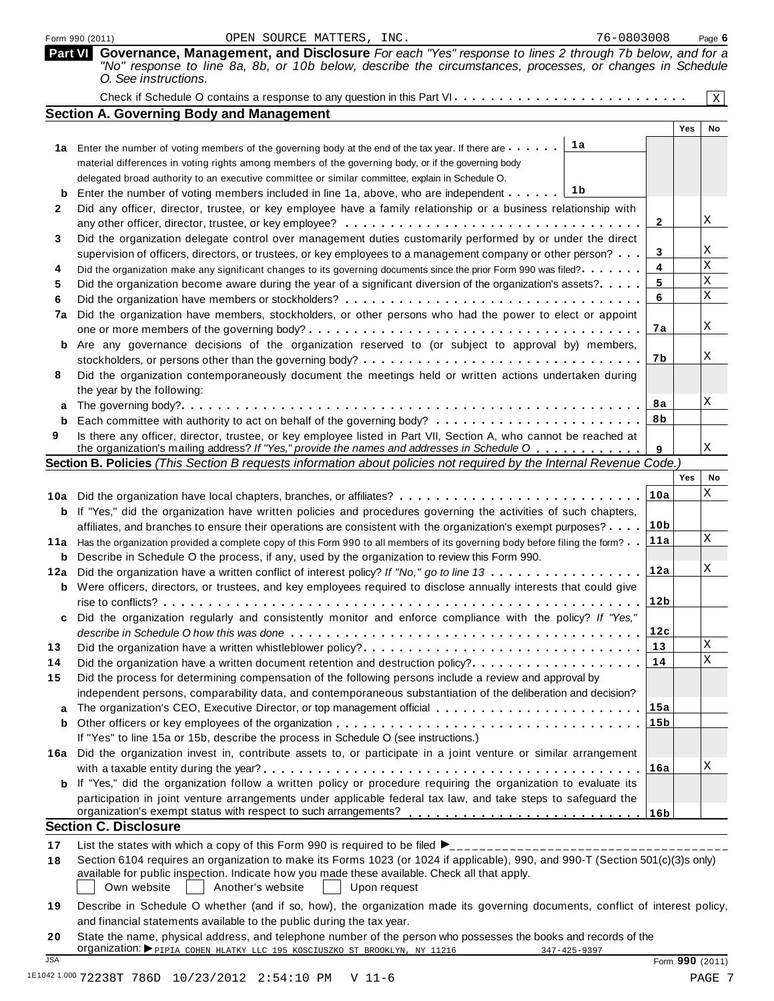|         | 76-0803008<br>OPEN SOURCE MATTERS, INC.<br>Form 990 (2011)                                                                                                                                                                                                                          |                 |     | Page 6         |
|---------|-------------------------------------------------------------------------------------------------------------------------------------------------------------------------------------------------------------------------------------------------------------------------------------|-----------------|-----|----------------|
| Part VI | Governance, Management, and Disclosure For each "Yes" response to lines 2 through 7b below, and for a<br>"No" response to line 8a, 8b, or 10b below, describe the circumstances, processes, or changes in Schedule<br>O. See instructions.                                          |                 |     |                |
|         |                                                                                                                                                                                                                                                                                     |                 |     | $\mathbf X$    |
|         | <b>Section A. Governing Body and Management</b>                                                                                                                                                                                                                                     |                 |     |                |
|         |                                                                                                                                                                                                                                                                                     |                 | Yes | No             |
|         | 1a<br>1a Enter the number of voting members of the governing body at the end of the tax year. If there are                                                                                                                                                                          |                 |     |                |
|         | material differences in voting rights among members of the governing body, or if the governing body                                                                                                                                                                                 |                 |     |                |
|         | delegated broad authority to an executive committee or similar committee, explain in Schedule O.                                                                                                                                                                                    |                 |     |                |
|         | 1 b<br>Enter the number of voting members included in line 1a, above, who are independent                                                                                                                                                                                           |                 |     |                |
| 2       | Did any officer, director, trustee, or key employee have a family relationship or a business relationship with                                                                                                                                                                      |                 |     |                |
|         |                                                                                                                                                                                                                                                                                     | 2               |     | Χ              |
| 3       | Did the organization delegate control over management duties customarily performed by or under the direct                                                                                                                                                                           |                 |     |                |
|         | supervision of officers, directors, or trustees, or key employees to a management company or other person?                                                                                                                                                                          | 3               |     | Χ              |
| 4       | Did the organization make any significant changes to its governing documents since the prior Form 990 was filed?                                                                                                                                                                    | 4               |     | $\rm X$        |
| 5       | Did the organization become aware during the year of a significant diversion of the organization's assets?                                                                                                                                                                          | 5               |     | $\mathbf X$    |
| 6       |                                                                                                                                                                                                                                                                                     | 6               |     | $\rm X$        |
| 7a      | Did the organization have members, stockholders, or other persons who had the power to elect or appoint                                                                                                                                                                             |                 |     |                |
|         |                                                                                                                                                                                                                                                                                     | 7a              |     | Χ              |
| b       | Are any governance decisions of the organization reserved to (or subject to approval by) members,                                                                                                                                                                                   |                 |     |                |
|         |                                                                                                                                                                                                                                                                                     | 7b              |     | Χ              |
| 8       | Did the organization contemporaneously document the meetings held or written actions undertaken during                                                                                                                                                                              |                 |     |                |
|         | the year by the following:                                                                                                                                                                                                                                                          |                 |     |                |
| a       |                                                                                                                                                                                                                                                                                     | 8a              |     | Χ              |
| b       |                                                                                                                                                                                                                                                                                     | 8b              |     |                |
| 9       | Is there any officer, director, trustee, or key employee listed in Part VII, Section A, who cannot be reached at                                                                                                                                                                    |                 |     |                |
|         | the organization's mailing address? If "Yes," provide the names and addresses in Schedule O                                                                                                                                                                                         | 9               |     | Χ              |
|         | Section B. Policies (This Section B requests information about policies not required by the Internal Revenue Code.)                                                                                                                                                                 |                 | Yes |                |
|         |                                                                                                                                                                                                                                                                                     |                 |     | No<br>Χ        |
|         | 10a Did the organization have local chapters, branches, or affiliates?                                                                                                                                                                                                              | 10a             |     |                |
| b       | If "Yes," did the organization have written policies and procedures governing the activities of such chapters,                                                                                                                                                                      |                 |     |                |
|         | affiliates, and branches to ensure their operations are consistent with the organization's exempt purposes?                                                                                                                                                                         | 10 <sub>b</sub> |     | $\mathbf X$    |
|         | 11a Has the organization provided a complete copy of this Form 990 to all members of its governing body before filing the form?                                                                                                                                                     | 11a             |     |                |
| b       | Describe in Schedule O the process, if any, used by the organization to review this Form 990.                                                                                                                                                                                       |                 |     | Χ              |
| 12a     | Did the organization have a written conflict of interest policy? If "No," go to line 13                                                                                                                                                                                             | 12a             |     |                |
|         | <b>b</b> Were officers, directors, or trustees, and key employees required to disclose annually interests that could give                                                                                                                                                           |                 |     |                |
|         |                                                                                                                                                                                                                                                                                     | 12 <sub>b</sub> |     |                |
| c       | Did the organization regularly and consistently monitor and enforce compliance with the policy? If "Yes,"                                                                                                                                                                           |                 |     |                |
|         |                                                                                                                                                                                                                                                                                     | 12c             |     | $\mathbf X$    |
| 13      |                                                                                                                                                                                                                                                                                     | 13              |     | $\overline{X}$ |
| 14      | Did the organization have a written document retention and destruction policy?                                                                                                                                                                                                      | 14              |     |                |
| 15      | Did the process for determining compensation of the following persons include a review and approval by                                                                                                                                                                              |                 |     |                |
|         | independent persons, comparability data, and contemporaneous substantiation of the deliberation and decision?                                                                                                                                                                       |                 |     |                |
| a       | The organization's CEO, Executive Director, or top management official                                                                                                                                                                                                              | 15a             |     |                |
| b       |                                                                                                                                                                                                                                                                                     | 15 <sub>b</sub> |     |                |
|         | If "Yes" to line 15a or 15b, describe the process in Schedule O (see instructions.)                                                                                                                                                                                                 |                 |     |                |
| 16a     | Did the organization invest in, contribute assets to, or participate in a joint venture or similar arrangement                                                                                                                                                                      |                 |     | Χ              |
|         |                                                                                                                                                                                                                                                                                     | 16a             |     |                |
| b       | If "Yes," did the organization follow a written policy or procedure requiring the organization to evaluate its                                                                                                                                                                      |                 |     |                |
|         | participation in joint venture arrangements under applicable federal tax law, and take steps to safeguard the                                                                                                                                                                       |                 |     |                |
|         | <b>Section C. Disclosure</b>                                                                                                                                                                                                                                                        |                 |     |                |
|         |                                                                                                                                                                                                                                                                                     |                 |     |                |
| 17      |                                                                                                                                                                                                                                                                                     |                 |     |                |
| 18      | Section 6104 requires an organization to make its Forms 1023 (or 1024 if applicable), 990, and 990-T (Section 501(c)(3)s only)<br>available for public inspection. Indicate how you made these available. Check all that apply.<br>Own website<br>Another's website<br>Upon request |                 |     |                |
| 19      |                                                                                                                                                                                                                                                                                     |                 |     |                |
|         | Describe in Schedule O whether (and if so, how), the organization made its governing documents, conflict of interest policy,                                                                                                                                                        |                 |     |                |

| 19 Describe in Schequie O whether (and if so, now), the organization made its governing documents, conflict of interest policy, |
|---------------------------------------------------------------------------------------------------------------------------------|
| and financial statements available to the public during the tax year.                                                           |

**20** State the name, physical address, and telephone number of the person who possesses the books and records of the<br>
organization:  $\blacktriangleright$  PIPIA COHEN HLATKY LLC 195 KOSCIUSZKO ST BROOKLYN, NY 11216<br>
JSA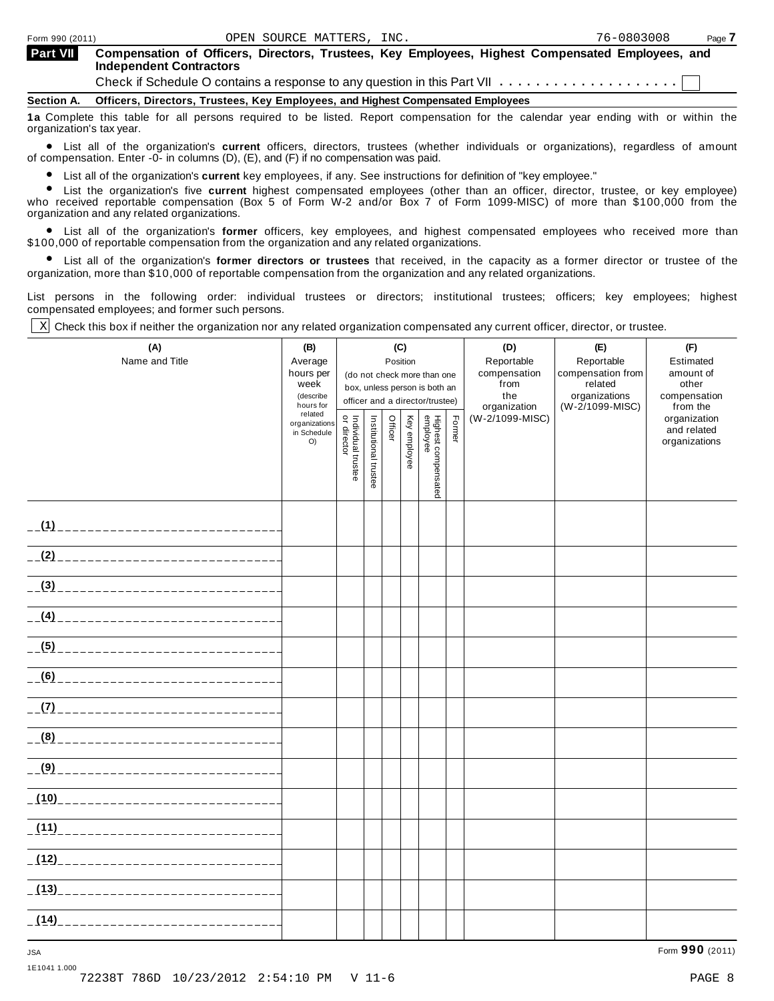| Form 990 (2011)          |                                                                                                                                                                                                                                                            | OPEN SOURCE MATTERS, INC. |  | 76-0803008 | Page 7 |
|--------------------------|------------------------------------------------------------------------------------------------------------------------------------------------------------------------------------------------------------------------------------------------------------|---------------------------|--|------------|--------|
| <b>Part VII</b>          | Compensation of Officers, Directors, Trustees, Key Employees, Highest Compensated Employees, and<br><b>Independent Contractors</b><br>Check if Schedule O contains a response to any question in this Part VII $\ldots \ldots \ldots \ldots \ldots \ldots$ |                           |  |            |        |
|                          | Section A. Officers, Directors, Trustees, Key Employees, and Highest Compensated Employees                                                                                                                                                                 |                           |  |            |        |
| organization's tax year. | 1a Complete this table for all persons required to be listed. Report compensation for the calendar year ending with or within the                                                                                                                          |                           |  |            |        |

organization's tax year.<br>● List all of the organization's current officers, directors, trustees (whether individuals or organizations), regardless of amount<br>of compensation Enter -0- in columns (D) (E) and (E) if no compe of compensation. Enter  $-0$ - in columns (D), (E), and (F) if no compensation was paid.

List all of the organization's **current** key employees, if any. See instructions for definition of "key employee."

Ompensation. Enter -o- in columns (D), (L), and (F) if no compensation was paid.<br>● List all of the organization's **current** highest compensated employees (other than an officer, director, trustee, or key employee)<br>● List who received reportable compensation (Box 5 of Form W-2 and/or Box 7 of Form 1099-MISC) of more than \$100,000 from the organization and any related organizations.

anization and any related organizations.<br>● List all of the organization's **former** officers, key employees, and highest compensated employees who received more than \$100,000 of reportable compensation from the organization and any related organizations.

% List all of the organization's **former directors or trustees** that received, in the capacity as a former director or trustee of the organization, more than \$10,000 of reportable compensation from the organization and any related organizations.

List persons in the following order: individual trustees or directors; institutional trustees; officers; key employees; highest compensated employees; and former such persons.

Check this box if neither the organization nor any related organization compensated any current officer, director, or trustee. X

| (A)<br>Name and Title                       | (B)<br>Average<br>hours per<br>week<br>(describe<br>hours for<br>related<br>organizations<br>in Schedule<br>$O$ ) | Individual trustee<br>or director | Institutional trustee | (C)<br>Position<br>Officer | Key employee | (do not check more than one<br>box, unless person is both an<br>officer and a director/trustee)<br>Highest compensated<br>employee | Former | (D)<br>Reportable<br>compensation<br>from<br>the<br>organization<br>(W-2/1099-MISC) | (E)<br>Reportable<br>compensation from<br>related<br>organizations<br>(W-2/1099-MISC) | (F)<br>Estimated<br>amount of<br>other<br>compensation<br>from the<br>organization<br>and related<br>organizations |
|---------------------------------------------|-------------------------------------------------------------------------------------------------------------------|-----------------------------------|-----------------------|----------------------------|--------------|------------------------------------------------------------------------------------------------------------------------------------|--------|-------------------------------------------------------------------------------------|---------------------------------------------------------------------------------------|--------------------------------------------------------------------------------------------------------------------|
|                                             |                                                                                                                   |                                   |                       |                            |              |                                                                                                                                    |        |                                                                                     |                                                                                       |                                                                                                                    |
|                                             |                                                                                                                   |                                   |                       |                            |              |                                                                                                                                    |        |                                                                                     |                                                                                       |                                                                                                                    |
|                                             |                                                                                                                   |                                   |                       |                            |              |                                                                                                                                    |        |                                                                                     |                                                                                       |                                                                                                                    |
|                                             |                                                                                                                   |                                   |                       |                            |              |                                                                                                                                    |        |                                                                                     |                                                                                       |                                                                                                                    |
|                                             |                                                                                                                   |                                   |                       |                            |              |                                                                                                                                    |        |                                                                                     |                                                                                       |                                                                                                                    |
|                                             |                                                                                                                   |                                   |                       |                            |              |                                                                                                                                    |        |                                                                                     |                                                                                       |                                                                                                                    |
|                                             |                                                                                                                   |                                   |                       |                            |              |                                                                                                                                    |        |                                                                                     |                                                                                       |                                                                                                                    |
|                                             |                                                                                                                   |                                   |                       |                            |              |                                                                                                                                    |        |                                                                                     |                                                                                       |                                                                                                                    |
|                                             |                                                                                                                   |                                   |                       |                            |              |                                                                                                                                    |        |                                                                                     |                                                                                       |                                                                                                                    |
|                                             |                                                                                                                   |                                   |                       |                            |              |                                                                                                                                    |        |                                                                                     |                                                                                       |                                                                                                                    |
|                                             |                                                                                                                   |                                   |                       |                            |              |                                                                                                                                    |        |                                                                                     |                                                                                       |                                                                                                                    |
|                                             |                                                                                                                   |                                   |                       |                            |              |                                                                                                                                    |        |                                                                                     |                                                                                       |                                                                                                                    |
| <u>(12) _______________________________</u> |                                                                                                                   |                                   |                       |                            |              |                                                                                                                                    |        |                                                                                     |                                                                                       |                                                                                                                    |
|                                             |                                                                                                                   |                                   |                       |                            |              |                                                                                                                                    |        |                                                                                     |                                                                                       |                                                                                                                    |
|                                             |                                                                                                                   |                                   |                       |                            |              |                                                                                                                                    |        |                                                                                     |                                                                                       |                                                                                                                    |

1E1041 1.000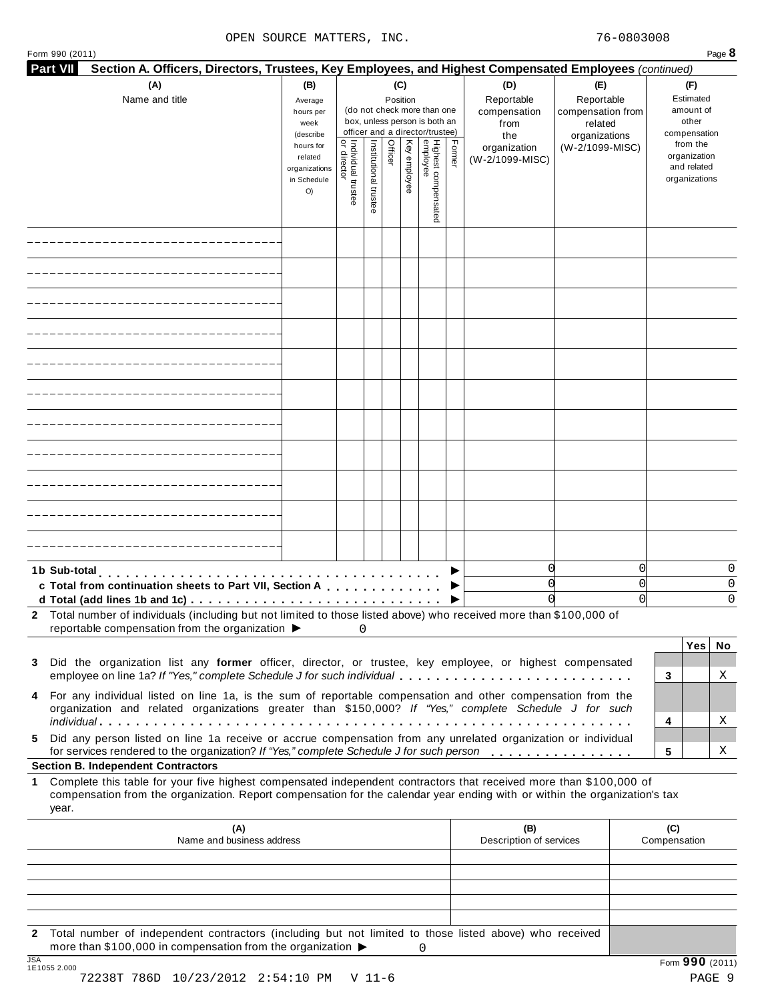| Form 990 (2011)<br>Part VII<br>Section A. Officers, Directors, Trustees, Key Employees, and Highest Compensated Employees (continued)                                                                                                                                     |                                                                                                                                                                        |                                          |                       |         |              |                                 |        |                                                  |                                                                    |                                                        |                                                          | Page 8      |
|---------------------------------------------------------------------------------------------------------------------------------------------------------------------------------------------------------------------------------------------------------------------------|------------------------------------------------------------------------------------------------------------------------------------------------------------------------|------------------------------------------|-----------------------|---------|--------------|---------------------------------|--------|--------------------------------------------------|--------------------------------------------------------------------|--------------------------------------------------------|----------------------------------------------------------|-------------|
| (A)<br>Name and title                                                                                                                                                                                                                                                     | (B)<br>(C)<br>Position<br>Average<br>(do not check more than one<br>hours per<br>box, unless person is both an<br>week<br>officer and a director/trustee)<br>(describe |                                          |                       |         |              |                                 |        | (D)<br>Reportable<br>compensation<br>from<br>the | (E)<br>Reportable<br>compensation from<br>related<br>organizations | (F)<br>Estimated<br>amount of<br>other<br>compensation |                                                          |             |
|                                                                                                                                                                                                                                                                           | hours for<br>related<br>organizations<br>in Schedule<br>O)                                                                                                             | Individual trustee<br> <br>  or director | Institutional trustee | Officer | Key employee | Highest compensated<br>employee | Former | organization<br>(W-2/1099-MISC)                  | (W-2/1099-MISC)                                                    |                                                        | from the<br>organization<br>and related<br>organizations |             |
|                                                                                                                                                                                                                                                                           |                                                                                                                                                                        |                                          |                       |         |              |                                 |        |                                                  |                                                                    |                                                        |                                                          |             |
|                                                                                                                                                                                                                                                                           |                                                                                                                                                                        |                                          |                       |         |              |                                 |        |                                                  |                                                                    |                                                        |                                                          |             |
|                                                                                                                                                                                                                                                                           |                                                                                                                                                                        |                                          |                       |         |              |                                 |        |                                                  |                                                                    |                                                        |                                                          |             |
|                                                                                                                                                                                                                                                                           |                                                                                                                                                                        |                                          |                       |         |              |                                 |        |                                                  |                                                                    |                                                        |                                                          |             |
|                                                                                                                                                                                                                                                                           |                                                                                                                                                                        |                                          |                       |         |              |                                 |        |                                                  |                                                                    |                                                        |                                                          |             |
|                                                                                                                                                                                                                                                                           |                                                                                                                                                                        |                                          |                       |         |              |                                 |        |                                                  |                                                                    |                                                        |                                                          |             |
|                                                                                                                                                                                                                                                                           |                                                                                                                                                                        |                                          |                       |         |              |                                 |        |                                                  |                                                                    |                                                        |                                                          |             |
|                                                                                                                                                                                                                                                                           |                                                                                                                                                                        |                                          |                       |         |              |                                 |        |                                                  |                                                                    |                                                        |                                                          |             |
|                                                                                                                                                                                                                                                                           |                                                                                                                                                                        |                                          |                       |         |              |                                 |        |                                                  |                                                                    |                                                        |                                                          |             |
|                                                                                                                                                                                                                                                                           |                                                                                                                                                                        |                                          |                       |         |              |                                 |        |                                                  |                                                                    |                                                        |                                                          |             |
|                                                                                                                                                                                                                                                                           |                                                                                                                                                                        |                                          |                       |         |              |                                 |        |                                                  |                                                                    |                                                        |                                                          |             |
| 1b Sub-total<br>c Total from continuation sheets to Part VII, Section A<br>d Total (add lines 1b and 1c) $\cdots \cdots \cdots \cdots \cdots \cdots \cdots \cdots \cdots \cdots \cdots$                                                                                   |                                                                                                                                                                        |                                          |                       |         |              |                                 |        | 0<br>0<br>0                                      |                                                                    | 0<br>0<br>0                                            |                                                          | 0<br>0<br>0 |
| 2 Total number of individuals (including but not limited to those listed above) who received more than \$100,000 of<br>reportable compensation from the organization $\blacktriangleright$                                                                                |                                                                                                                                                                        | 0                                        |                       |         |              |                                 |        |                                                  |                                                                    |                                                        |                                                          |             |
| Did the organization list any former officer, director, or trustee, key employee, or highest compensated<br>employee on line 1a? If "Yes," complete Schedule J for such individual                                                                                        |                                                                                                                                                                        |                                          |                       |         |              |                                 |        |                                                  |                                                                    | 3                                                      | Yes <sub>1</sub>                                         | No<br>Χ     |
| 4 For any individual listed on line 1a, is the sum of reportable compensation and other compensation from the<br>organization and related organizations greater than \$150,000? If "Yes," complete Schedule J for such                                                    |                                                                                                                                                                        |                                          |                       |         |              |                                 |        |                                                  |                                                                    |                                                        |                                                          |             |
| Did any person listed on line 1a receive or accrue compensation from any unrelated organization or individual                                                                                                                                                             |                                                                                                                                                                        |                                          |                       |         |              |                                 |        |                                                  |                                                                    | 4                                                      |                                                          | Χ           |
| for services rendered to the organization? If "Yes," complete Schedule J for such person<br><b>Section B. Independent Contractors</b>                                                                                                                                     |                                                                                                                                                                        |                                          |                       |         |              |                                 |        |                                                  |                                                                    | 5                                                      |                                                          | Χ           |
| Complete this table for your five highest compensated independent contractors that received more than \$100,000 of<br>$\mathbf{1}$<br>compensation from the organization. Report compensation for the calendar year ending with or within the organization's tax<br>year. |                                                                                                                                                                        |                                          |                       |         |              |                                 |        |                                                  |                                                                    |                                                        |                                                          |             |
| (A)<br>Name and business address                                                                                                                                                                                                                                          |                                                                                                                                                                        |                                          |                       |         |              |                                 |        | (B)<br>Description of services                   |                                                                    | (C)<br>Compensation                                    |                                                          |             |
|                                                                                                                                                                                                                                                                           |                                                                                                                                                                        |                                          |                       |         |              |                                 |        |                                                  |                                                                    |                                                        |                                                          |             |
|                                                                                                                                                                                                                                                                           |                                                                                                                                                                        |                                          |                       |         |              |                                 |        |                                                  |                                                                    |                                                        |                                                          |             |

**2** Total number of independent contractors (including but not limited to those listed above) who received more than \$100,000 in compensation from the organization  $\rightarrow$  0

72238T 786D 10/23/2012 2:54:10 PM V 11-6 PAGE 9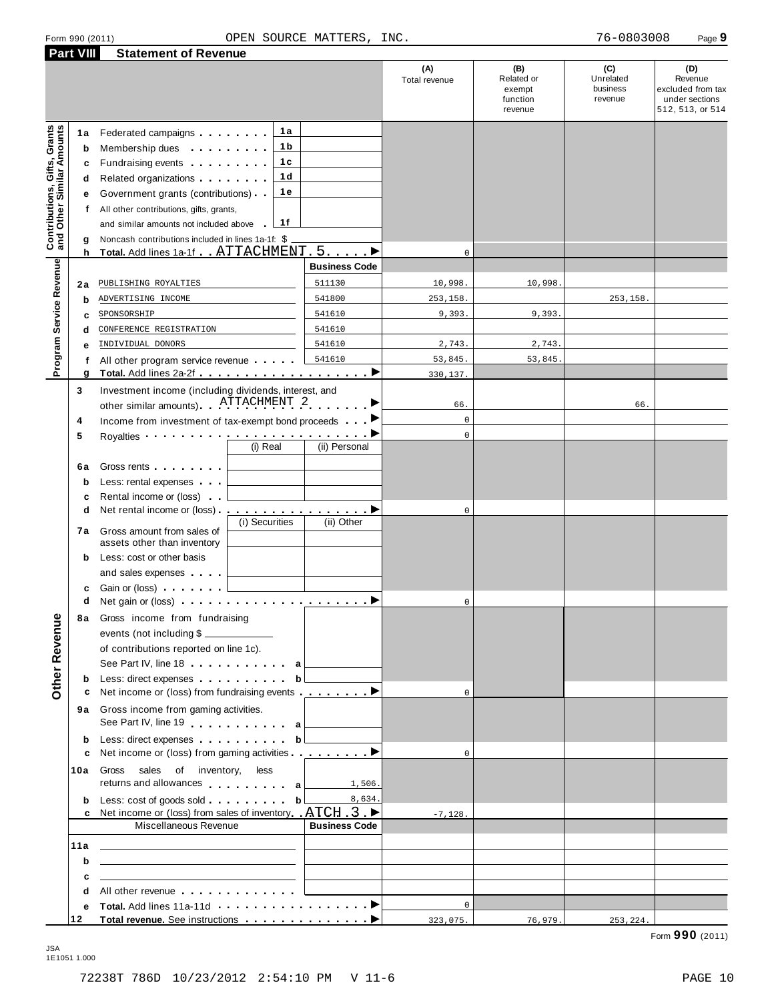|                                                           | <b>Part VIII</b>                                | <b>Statement of Revenue</b>                                                                                                                                                                                                                                                                                                                                                                                                                                                                                                                                                                                                                                 |                      |                      |                                                    |                                         |                                                                           |
|-----------------------------------------------------------|-------------------------------------------------|-------------------------------------------------------------------------------------------------------------------------------------------------------------------------------------------------------------------------------------------------------------------------------------------------------------------------------------------------------------------------------------------------------------------------------------------------------------------------------------------------------------------------------------------------------------------------------------------------------------------------------------------------------------|----------------------|----------------------|----------------------------------------------------|-----------------------------------------|---------------------------------------------------------------------------|
|                                                           |                                                 |                                                                                                                                                                                                                                                                                                                                                                                                                                                                                                                                                                                                                                                             |                      | (A)<br>Total revenue | (B)<br>Related or<br>exempt<br>function<br>revenue | (C)<br>Unrelated<br>business<br>revenue | (D)<br>Revenue<br>excluded from tax<br>under sections<br>512, 513, or 514 |
| Contributions, Gifts, Grants<br>and Other Similar Amounts | 1a<br>$\mathbf b$<br>c<br>d<br>е<br>f<br>g<br>h | 1a<br>Federated campaigns<br>1 <sub>b</sub><br>Membership dues <b>All Accords</b> Membership dues<br>1c<br>Fundraising events <b>Fundraising</b><br>1 <sub>d</sub><br>Related organizations <b>contains</b> and <b>Related</b> organizations <b>and</b> a set of the set of the set of the set of the set of the set of the set of the set of the set of the set of the set of the set of the set of the set of the<br>1 e<br>Government grants (contributions)<br>All other contributions, gifts, grants,<br>1f<br>and similar amounts not included above<br>Noncash contributions included in lines 1a-1f: \$<br>Total. Add lines 1a-1f ATTACHMENT . 5. > |                      | $\mathbf 0$          |                                                    |                                         |                                                                           |
|                                                           |                                                 |                                                                                                                                                                                                                                                                                                                                                                                                                                                                                                                                                                                                                                                             | <b>Business Code</b> |                      |                                                    |                                         |                                                                           |
|                                                           |                                                 |                                                                                                                                                                                                                                                                                                                                                                                                                                                                                                                                                                                                                                                             | 511130               |                      | 10,998                                             |                                         |                                                                           |
|                                                           | 2a                                              | PUBLISHING ROYALTIES                                                                                                                                                                                                                                                                                                                                                                                                                                                                                                                                                                                                                                        |                      | 10,998.              |                                                    |                                         |                                                                           |
|                                                           | b                                               | ADVERTISING INCOME                                                                                                                                                                                                                                                                                                                                                                                                                                                                                                                                                                                                                                          | 541800               | 253,158.             |                                                    | 253,158.                                |                                                                           |
|                                                           | с                                               | SPONSORSHIP                                                                                                                                                                                                                                                                                                                                                                                                                                                                                                                                                                                                                                                 | 541610               | 9,393.               | 9,393                                              |                                         |                                                                           |
|                                                           | d                                               | CONFERENCE REGISTRATION                                                                                                                                                                                                                                                                                                                                                                                                                                                                                                                                                                                                                                     | 541610               |                      |                                                    |                                         |                                                                           |
|                                                           |                                                 | INDIVIDUAL DONORS                                                                                                                                                                                                                                                                                                                                                                                                                                                                                                                                                                                                                                           | 541610               | 2,743.               | 2,743.                                             |                                         |                                                                           |
| Program Service Revenue                                   | f                                               | All other program service revenue                                                                                                                                                                                                                                                                                                                                                                                                                                                                                                                                                                                                                           | 541610               | 53,845.              | 53,845                                             |                                         |                                                                           |
|                                                           | g<br>3                                          | Investment income (including dividends, interest, and                                                                                                                                                                                                                                                                                                                                                                                                                                                                                                                                                                                                       | ▶                    | 330,137.             |                                                    |                                         |                                                                           |
|                                                           |                                                 | other similar amounts) ATTACHMENT 2                                                                                                                                                                                                                                                                                                                                                                                                                                                                                                                                                                                                                         |                      | 66.                  |                                                    | 66.                                     |                                                                           |
|                                                           | 4                                               | Income from investment of tax-exempt bond proceeds                                                                                                                                                                                                                                                                                                                                                                                                                                                                                                                                                                                                          |                      | $\mathsf{O}\xspace$  |                                                    |                                         |                                                                           |
|                                                           | 5                                               | Royalties <b>Construction Construction</b><br>(i) Real                                                                                                                                                                                                                                                                                                                                                                                                                                                                                                                                                                                                      | (ii) Personal        | $\mathbf 0$          |                                                    |                                         |                                                                           |
|                                                           | 6а<br>b<br>c<br>d<br>7а                         | Gross rents <b>Container and Container</b><br>Less: rental expenses<br>Rental income or (loss)<br>(i) Securities<br>Gross amount from sales of                                                                                                                                                                                                                                                                                                                                                                                                                                                                                                              | (ii) Other           | 0                    |                                                    |                                         |                                                                           |
|                                                           | b<br>с                                          | assets other than inventory<br>Less: cost or other basis<br>and sales expenses                                                                                                                                                                                                                                                                                                                                                                                                                                                                                                                                                                              |                      |                      |                                                    |                                         |                                                                           |
|                                                           | d                                               |                                                                                                                                                                                                                                                                                                                                                                                                                                                                                                                                                                                                                                                             |                      | 0                    |                                                    |                                         |                                                                           |
| <b>Other Revenue</b>                                      | 8a                                              | Gross income from fundraising<br>events (not including \$<br>of contributions reported on line 1c).                                                                                                                                                                                                                                                                                                                                                                                                                                                                                                                                                         |                      |                      |                                                    |                                         |                                                                           |
|                                                           |                                                 | See Part IV, line 18 a                                                                                                                                                                                                                                                                                                                                                                                                                                                                                                                                                                                                                                      |                      |                      |                                                    |                                         |                                                                           |
|                                                           | b                                               | Less: direct expenses b                                                                                                                                                                                                                                                                                                                                                                                                                                                                                                                                                                                                                                     |                      |                      |                                                    |                                         |                                                                           |
|                                                           | с                                               | Net income or (loss) from fundraising events <u></u> ▶                                                                                                                                                                                                                                                                                                                                                                                                                                                                                                                                                                                                      |                      | $\Omega$             |                                                    |                                         |                                                                           |
|                                                           |                                                 | 9a Gross income from gaming activities.<br>See Part IV, line 19 and a later a                                                                                                                                                                                                                                                                                                                                                                                                                                                                                                                                                                               |                      |                      |                                                    |                                         |                                                                           |
|                                                           | b                                               | Less: direct expenses b                                                                                                                                                                                                                                                                                                                                                                                                                                                                                                                                                                                                                                     |                      |                      |                                                    |                                         |                                                                           |
|                                                           | c                                               | Net income or (loss) from gaming activities <u>entitled</u> by Net income or (loss)                                                                                                                                                                                                                                                                                                                                                                                                                                                                                                                                                                         |                      | $\Omega$             |                                                    |                                         |                                                                           |
|                                                           | 10a                                             | Gross<br>sales of inventory,<br>less<br>returns and allowances a                                                                                                                                                                                                                                                                                                                                                                                                                                                                                                                                                                                            | 1,506.               |                      |                                                    |                                         |                                                                           |
|                                                           | b                                               |                                                                                                                                                                                                                                                                                                                                                                                                                                                                                                                                                                                                                                                             | 8,634.               |                      |                                                    |                                         |                                                                           |
|                                                           |                                                 | c Net income or (loss) from sales of inventory $ATCH$ 3<br>Miscellaneous Revenue                                                                                                                                                                                                                                                                                                                                                                                                                                                                                                                                                                            | <b>Business Code</b> | $-7,128.$            |                                                    |                                         |                                                                           |
|                                                           |                                                 |                                                                                                                                                                                                                                                                                                                                                                                                                                                                                                                                                                                                                                                             |                      |                      |                                                    |                                         |                                                                           |
|                                                           | 11a                                             | <u> 1989 - Johann Harry Harry Harry Harry Harry Harry Harry Harry Harry Harry Harry Harry Harry Harry Harry Harry</u>                                                                                                                                                                                                                                                                                                                                                                                                                                                                                                                                       |                      |                      |                                                    |                                         |                                                                           |
|                                                           | b                                               | <u> 1989 - John Stein, Amerikaansk politiker († 1908)</u>                                                                                                                                                                                                                                                                                                                                                                                                                                                                                                                                                                                                   |                      |                      |                                                    |                                         |                                                                           |
|                                                           | с                                               | <u> 1989 - John Harry Harry Harry Harry Harry Harry Harry Harry Harry Harry Harry Harry Harry Harry Harry Harry H</u>                                                                                                                                                                                                                                                                                                                                                                                                                                                                                                                                       |                      |                      |                                                    |                                         |                                                                           |
|                                                           | d                                               | All other revenue entitled and the control of the control of the control of the control of the control of the control of the control of the control of the control of the control of the control of the control of the control                                                                                                                                                                                                                                                                                                                                                                                                                              |                      |                      |                                                    |                                         |                                                                           |
|                                                           | е                                               |                                                                                                                                                                                                                                                                                                                                                                                                                                                                                                                                                                                                                                                             |                      | $\overline{0}$       |                                                    |                                         |                                                                           |
|                                                           | 12                                              | Total revenue. See instructions <b>and intervention</b> ▶                                                                                                                                                                                                                                                                                                                                                                                                                                                                                                                                                                                                   |                      | 323,075.             | 76,979.                                            | 253, 224.                               |                                                                           |

JSA 1E1051 1.000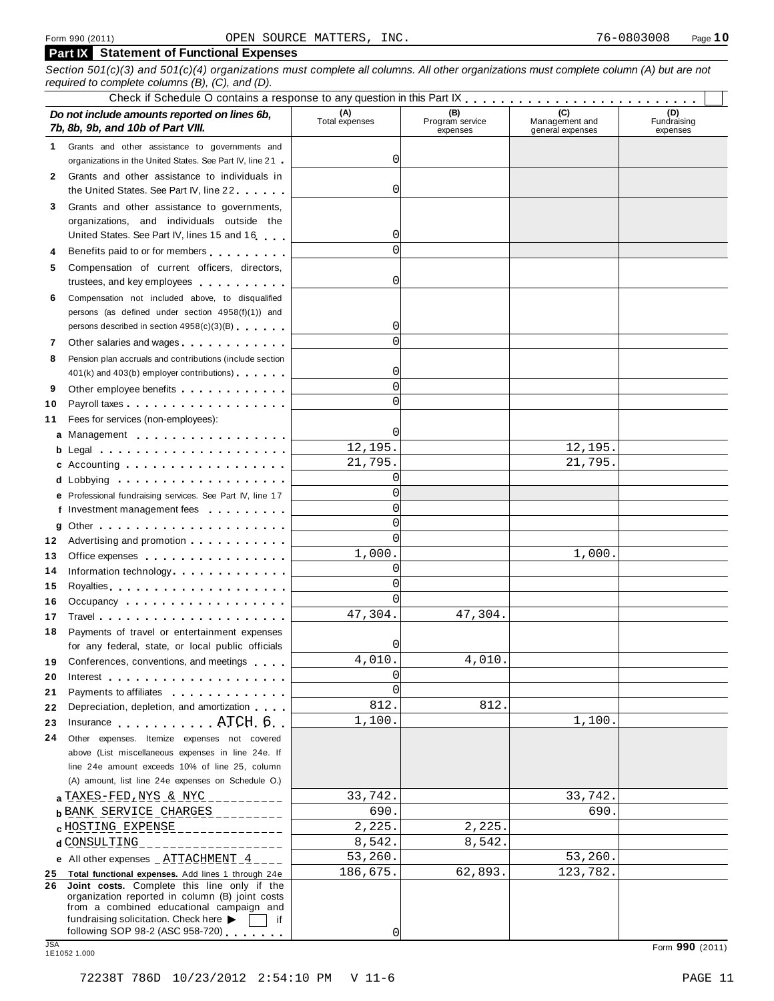#### **Part IX Statement of Functional Expenses**

Section 501(c)(3) and 501(c)(4) organizations must complete all columns. All other organizations must complete column (A) but are not

|    | required to complete columns $(B)$ , $(C)$ , and $(D)$ .                                                                                                                                                                       |                       |                                    |                                           |                                |
|----|--------------------------------------------------------------------------------------------------------------------------------------------------------------------------------------------------------------------------------|-----------------------|------------------------------------|-------------------------------------------|--------------------------------|
|    | Do not include amounts reported on lines 6b,<br>7b, 8b, 9b, and 10b of Part VIII.                                                                                                                                              | (A)<br>Total expenses | (B)<br>Program service<br>expenses | (C)<br>Management and<br>general expenses | (D)<br>Fundraising<br>expenses |
| 1  | Grants and other assistance to governments and                                                                                                                                                                                 |                       |                                    |                                           |                                |
|    | organizations in the United States. See Part IV, line 21                                                                                                                                                                       | 0                     |                                    |                                           |                                |
| 2  | Grants and other assistance to individuals in                                                                                                                                                                                  |                       |                                    |                                           |                                |
|    | the United States. See Part IV, line 22                                                                                                                                                                                        | 0                     |                                    |                                           |                                |
| 3  | Grants and other assistance to governments,                                                                                                                                                                                    |                       |                                    |                                           |                                |
|    | organizations, and individuals outside the                                                                                                                                                                                     |                       |                                    |                                           |                                |
|    | United States. See Part IV, lines 15 and 16                                                                                                                                                                                    | 0                     |                                    |                                           |                                |
| 4  | Benefits paid to or for members                                                                                                                                                                                                |                       |                                    |                                           |                                |
| 5. | Compensation of current officers, directors,                                                                                                                                                                                   |                       |                                    |                                           |                                |
|    | trustees, and key employees                                                                                                                                                                                                    | 0                     |                                    |                                           |                                |
| 6. | Compensation not included above, to disqualified                                                                                                                                                                               |                       |                                    |                                           |                                |
|    | persons (as defined under section 4958(f)(1)) and                                                                                                                                                                              |                       |                                    |                                           |                                |
|    | persons described in section 4958(c)(3)(B)                                                                                                                                                                                     | 0                     |                                    |                                           |                                |
| 7  | Other salaries and wages                                                                                                                                                                                                       |                       |                                    |                                           |                                |
| 8  | Pension plan accruals and contributions (include section                                                                                                                                                                       |                       |                                    |                                           |                                |
|    | 401(k) and 403(b) employer contributions)                                                                                                                                                                                      | 0                     |                                    |                                           |                                |
| 9  | Other employee benefits                                                                                                                                                                                                        | $\Omega$              |                                    |                                           |                                |
| 10 |                                                                                                                                                                                                                                |                       |                                    |                                           |                                |
| 11 | Fees for services (non-employees):                                                                                                                                                                                             |                       |                                    |                                           |                                |
|    | a Management                                                                                                                                                                                                                   | 0                     |                                    |                                           |                                |
|    |                                                                                                                                                                                                                                | 12,195.               |                                    | 12,195.                                   |                                |
|    | c Accounting $\ldots$ , $\ldots$ , $\ldots$ , $\ldots$ , $\ldots$                                                                                                                                                              | 21,795.               |                                    | 21,795.                                   |                                |
|    |                                                                                                                                                                                                                                | 0                     |                                    |                                           |                                |
|    | e Professional fundraising services. See Part IV, line 17                                                                                                                                                                      | $\Omega$              |                                    |                                           |                                |
|    | f Investment management fees                                                                                                                                                                                                   | $\Omega$              |                                    |                                           |                                |
|    |                                                                                                                                                                                                                                | $\Omega$              |                                    |                                           |                                |
|    | 12 Advertising and promotion                                                                                                                                                                                                   | $\Omega$              |                                    |                                           |                                |
| 13 | Office expenses example.                                                                                                                                                                                                       | 1,000.                |                                    | 1,000.                                    |                                |
| 14 | Information technology exercise the contract of the contract of the contract of the contract of the contract of the contract of the contract of the contract of the contract of the contract of the contract of the contract o | 0                     |                                    |                                           |                                |
| 15 |                                                                                                                                                                                                                                | $\Omega$              |                                    |                                           |                                |
| 16 | Occupancy                                                                                                                                                                                                                      | $\Omega$              |                                    |                                           |                                |
| 17 |                                                                                                                                                                                                                                | 47,304.               | 47,304.                            |                                           |                                |
| 18 | Payments of travel or entertainment expenses                                                                                                                                                                                   |                       |                                    |                                           |                                |
|    | for any federal, state, or local public officials                                                                                                                                                                              | $\Omega$              |                                    |                                           |                                |
| 19 | Conferences, conventions, and meetings                                                                                                                                                                                         | 4,010.                | 4,010                              |                                           |                                |
| 20 |                                                                                                                                                                                                                                | 0                     |                                    |                                           |                                |
| 21 | Payments to affiliates <b>Exercise 2.1 Fig. 1.1 Fig. 1.1</b>                                                                                                                                                                   | $\Omega$              |                                    |                                           |                                |
| 22 | Depreciation, depletion, and amortization                                                                                                                                                                                      | 812.                  | 812                                |                                           |                                |
| 23 | Insurance <b>ATCH 6</b>                                                                                                                                                                                                        | 1,100.                |                                    | 1,100.                                    |                                |
| 24 | Other expenses. Itemize expenses not covered                                                                                                                                                                                   |                       |                                    |                                           |                                |
|    | above (List miscellaneous expenses in line 24e. If                                                                                                                                                                             |                       |                                    |                                           |                                |
|    | line 24e amount exceeds 10% of line 25, column                                                                                                                                                                                 |                       |                                    |                                           |                                |
|    | (A) amount, list line 24e expenses on Schedule O.)                                                                                                                                                                             |                       |                                    |                                           |                                |
|    | a TAXES-FED, NYS & NYC.                                                                                                                                                                                                        | 33,742.               |                                    | 33,742.                                   |                                |
|    | <b>b BANK SERVICE CHARGES</b>                                                                                                                                                                                                  | 690.                  |                                    | 690                                       |                                |
|    | <b>c</b> HOSTING EXPENSE<br>------------                                                                                                                                                                                       | 2,225.                | 2,225.                             |                                           |                                |
|    | d CONSULTING<br>____________                                                                                                                                                                                                   | 8,542.                | 8,542.                             |                                           |                                |
|    | e All other expenses $\_ATTACHMENT_4$                                                                                                                                                                                          | 53,260.               |                                    | 53,260.                                   |                                |
|    | 25 Total functional expenses. Add lines 1 through 24e                                                                                                                                                                          | 186,675.              | 62,893.                            | 123,782.                                  |                                |
| 26 | Joint costs. Complete this line only if the<br>organization reported in column (B) joint costs<br>from a combined educational campaign and<br>fundraising solicitation. Check here<br>if                                       |                       |                                    |                                           |                                |
|    | following SOP 98-2 (ASC 958-720) $\overline{\phantom{1}}$                                                                                                                                                                      | $\overline{0}$        |                                    |                                           |                                |
|    |                                                                                                                                                                                                                                |                       |                                    |                                           |                                |

JSA<br>1E1052 1.000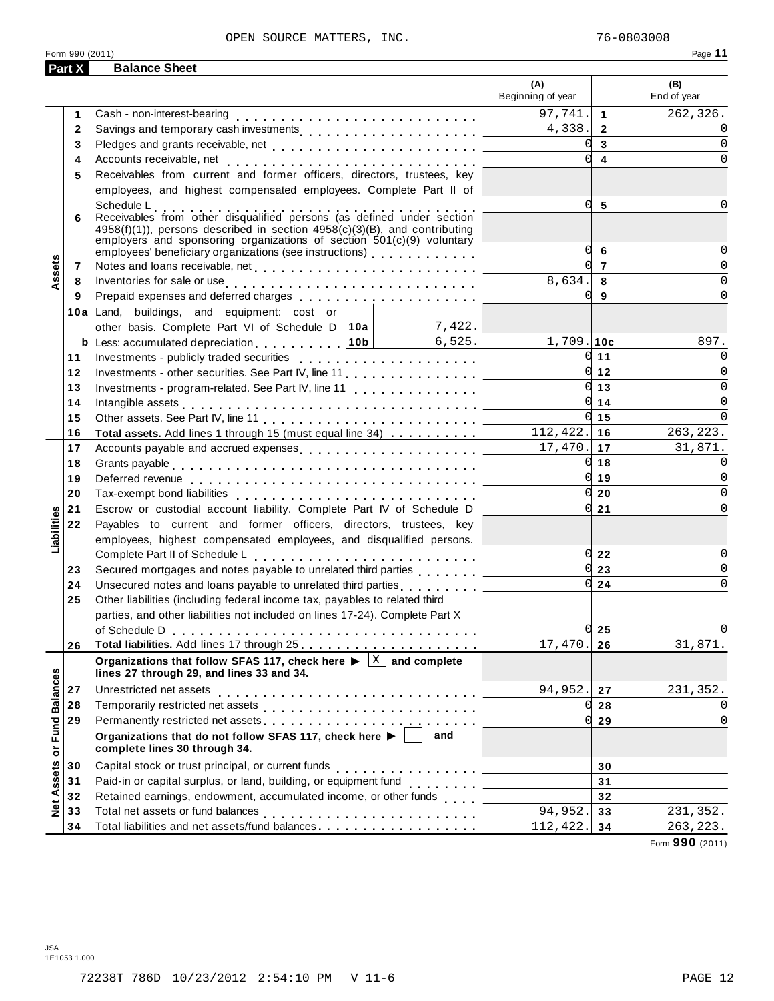Total liabilities and net assets/fund balances

#### OPEN SOURCE MATTERS, INC. 76-0803008

|                   |              |                                                                                                                                                                                                                                  |        | (A)<br>Beginning of year |                         | (B)<br>End of year |
|-------------------|--------------|----------------------------------------------------------------------------------------------------------------------------------------------------------------------------------------------------------------------------------|--------|--------------------------|-------------------------|--------------------|
|                   | 1            | Cash - non-interest-bearing                                                                                                                                                                                                      |        | 97,741.                  | $\blacktriangleleft$    | 262,326.           |
|                   | $\mathbf{2}$ | Savings and temporary cash investments                                                                                                                                                                                           |        | 4,338.                   | $\overline{2}$          |                    |
|                   | 3            |                                                                                                                                                                                                                                  |        | <sub>O</sub>             | $\overline{3}$          | $\Omega$           |
|                   | 4            |                                                                                                                                                                                                                                  |        | $\Omega$                 | $\overline{\mathbf{4}}$ | $\Omega$           |
|                   | 5            | Receivables from current and former officers, directors, trustees, key                                                                                                                                                           |        |                          |                         |                    |
|                   |              | employees, and highest compensated employees. Complete Part II of                                                                                                                                                                |        |                          |                         |                    |
|                   |              | Schedule L                                                                                                                                                                                                                       |        | 0                        | 5                       |                    |
|                   | 6            | Receivables from other disqualified persons (as defined under section                                                                                                                                                            |        |                          |                         |                    |
|                   |              | 4958(f)(1)), persons described in section 4958(c)(3)(B), and contributing                                                                                                                                                        |        |                          |                         |                    |
|                   |              | employers and sponsoring organizations of section $501(c)(9)$ voluntary<br>employees' beneficiary organizations (see instructions) [100]                                                                                         |        | 0                        | 6                       |                    |
|                   | 7            |                                                                                                                                                                                                                                  |        |                          | $\overline{7}$          | $\Omega$           |
| Assets            | 8            | Inventories for sale or use enterpreteration of the contract of the sale or use of the contract of the contract of the contract of the contract of the contract of the contract of the contract of the contract of the contrac   |        | 8,634.                   | 8                       | $\Omega$           |
|                   | 9            |                                                                                                                                                                                                                                  |        | 0l                       | 9                       | $\Omega$           |
|                   |              | 10a Land, buildings, and equipment: cost or                                                                                                                                                                                      |        |                          |                         |                    |
|                   |              | other basis. Complete Part VI of Schedule D   10a                                                                                                                                                                                | 7,422. |                          |                         |                    |
|                   |              | <b>b</b> Less: accumulated depreciation 1.1.1.10b                                                                                                                                                                                | 6,525. | $1,709.$ 10c             |                         | 897.               |
|                   | 11           |                                                                                                                                                                                                                                  |        |                          | $0 \mid 11$             | <sup>0</sup>       |
|                   | 12           |                                                                                                                                                                                                                                  |        |                          | $0 \vert 12$            | $\Omega$           |
|                   | 13           |                                                                                                                                                                                                                                  |        |                          | $\overline{0}$ 13       | $\Omega$           |
|                   | 14           |                                                                                                                                                                                                                                  |        |                          | $0 \mid 14$             | $\Omega$           |
|                   | 15           | Intangible assets $\ldots \ldots \ldots \ldots \ldots \ldots \ldots \ldots$                                                                                                                                                      |        |                          | $0 \mid 15$             | $\Omega$           |
|                   | 16           | Total assets. Add lines 1 through 15 (must equal line 34)                                                                                                                                                                        |        | $112, 422.$ 16           |                         | 263, 223.          |
|                   | 17           | Accounts payable and accrued expenses                                                                                                                                                                                            |        | 17,470.                  | 17                      | 31,871.            |
|                   | 18           |                                                                                                                                                                                                                                  |        |                          | $0 \vert 18$            | $\Omega$           |
|                   | 19           |                                                                                                                                                                                                                                  |        | 0                        | 19                      | $\Omega$           |
|                   | 20           |                                                                                                                                                                                                                                  |        |                          | $0\overline{20}$        | $\Omega$           |
|                   | 21           | Escrow or custodial account liability. Complete Part IV of Schedule D                                                                                                                                                            |        |                          | 21                      | 0                  |
|                   | 22           | Payables to current and former officers, directors, trustees, key                                                                                                                                                                |        |                          |                         |                    |
| Liabilities       |              | employees, highest compensated employees, and disqualified persons.                                                                                                                                                              |        |                          |                         |                    |
|                   |              |                                                                                                                                                                                                                                  |        |                          | $0\,$ 22                |                    |
|                   | 23           |                                                                                                                                                                                                                                  |        |                          | 23                      | 0                  |
|                   | 24           | Unsecured notes and loans payable to unrelated third parties                                                                                                                                                                     |        | 0l                       | 24                      | $\Omega$           |
|                   | 25           | Other liabilities (including federal income tax, payables to related third                                                                                                                                                       |        |                          |                         |                    |
|                   |              | parties, and other liabilities not included on lines 17-24). Complete Part X                                                                                                                                                     |        |                          |                         |                    |
|                   |              |                                                                                                                                                                                                                                  |        |                          | $0\overline{25}$        |                    |
|                   | 26           |                                                                                                                                                                                                                                  |        | 17,470.                  | 26                      | 31,871.            |
|                   |              | Organizations that follow SFAS 117, check here $\blacktriangleright \begin{array}{c} \begin{array}{c} \begin{array}{c} \times \end{array} \end{array}$ and complete<br>lines 27 through 29, and lines 33 and 34.                 |        |                          |                         |                    |
|                   | 27           | Unrestricted net assets                                                                                                                                                                                                          |        | 94,952.                  | 27                      | 231,352.           |
|                   | 28           |                                                                                                                                                                                                                                  |        |                          | 28                      | 0                  |
|                   | 29           | Permanently restricted net assets<br>intervals and intervals are not restricted to the set of assets are not restricted to the set of the set of the set of the set of the set of the set of the set of the set of the set of th |        |                          | 29                      | 0                  |
| or Fund Balances  |              | Organizations that do not follow SFAS 117, check here ▶                                                                                                                                                                          | and    |                          |                         |                    |
|                   |              | complete lines 30 through 34.                                                                                                                                                                                                    |        |                          |                         |                    |
| <b>Net Assets</b> | 30           | Capital stock or trust principal, or current funds                                                                                                                                                                               | .      |                          | 30                      |                    |
|                   | 31           | Paid-in or capital surplus, or land, building, or equipment fund<br>                                                                                                                                                             |        |                          | 31                      |                    |
|                   | 32           | Retained earnings, endowment, accumulated income, or other funds                                                                                                                                                                 |        |                          | 32                      |                    |
|                   | 33           | Total net assets or fund balances                                                                                                                                                                                                |        | 94,952.                  | 33                      | 231,352.           |

 $\begin{array}{|c|c|c|}\n \hline \text{c}\text{c}\text{c}\text{umulated income, or other turns} & \text{or} & \text{or} & \text{or} & \text{or} & \text{or} & \text{or} & \text{or} & \text{or} & \text{or} & \text{or} & \text{or} & \text{or} & \text{or} & \text{or} & \text{or} & \text{or} & \text{or} & \text{or} & \text{or} & \text{or} & \text{or} & \text{or} & \text{or} & \text{or} & \text{or} & \text{or} & \text{or} & \text{or} & \text{or} & \text{or}$ 

**32 33 34**

 $94,952.$  33  $\vert$  231,352.  $112,422.$  34 263,223.

**Part X Balance Sheet**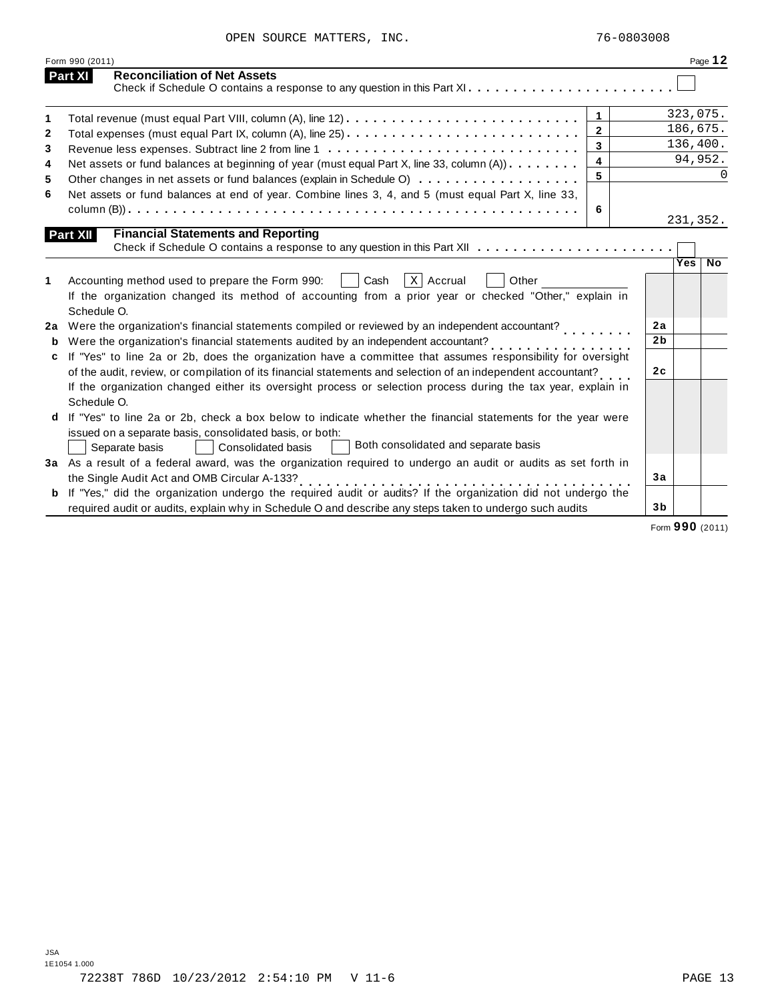|              | Form 990 (2011)                                                                                                                                                                                                                                                                                                 |                | Page 12      |
|--------------|-----------------------------------------------------------------------------------------------------------------------------------------------------------------------------------------------------------------------------------------------------------------------------------------------------------------|----------------|--------------|
|              | <b>Reconciliation of Net Assets</b><br>Part XI                                                                                                                                                                                                                                                                  |                |              |
| 1            | $\overline{1}$                                                                                                                                                                                                                                                                                                  |                | 323,075.     |
| $\mathbf{2}$ | $\overline{2}$                                                                                                                                                                                                                                                                                                  |                | 186,675.     |
| 3            | $\mathbf{3}$                                                                                                                                                                                                                                                                                                    |                | 136,400.     |
| 4            | $\overline{\mathbf{4}}$<br>Net assets or fund balances at beginning of year (must equal Part X, line 33, column (A))                                                                                                                                                                                            |                | 94,952.      |
| 5            | 5<br>Other changes in net assets or fund balances (explain in Schedule O)                                                                                                                                                                                                                                       |                | <sup>0</sup> |
| 6            | Net assets or fund balances at end of year. Combine lines 3, 4, and 5 (must equal Part X, line 33,                                                                                                                                                                                                              |                |              |
|              | 6                                                                                                                                                                                                                                                                                                               |                | 231,352.     |
|              | <b>Financial Statements and Reporting</b><br>Part XII                                                                                                                                                                                                                                                           |                |              |
|              |                                                                                                                                                                                                                                                                                                                 |                |              |
| 1<br>2a      | $x \mid$ Accrual<br>Cash<br>Other<br>Accounting method used to prepare the Form 990:<br>If the organization changed its method of accounting from a prior year or checked "Other," explain in<br>Schedule O.<br>Were the organization's financial statements compiled or reviewed by an independent accountant? | 2a             |              |
|              | Were the organization's financial statements audited by an independent accountant?                                                                                                                                                                                                                              | 2 <sub>b</sub> |              |
| c            | If "Yes" to line 2a or 2b, does the organization have a committee that assumes responsibility for oversight<br>of the audit, review, or compilation of its financial statements and selection of an independent accountant?                                                                                     | 2c             |              |
|              | If the organization changed either its oversight process or selection process during the tax year, explain in<br>Schedule O.                                                                                                                                                                                    |                |              |
|              | If "Yes" to line 2a or 2b, check a box below to indicate whether the financial statements for the year were                                                                                                                                                                                                     |                |              |
|              | issued on a separate basis, consolidated basis, or both:<br>Both consolidated and separate basis<br>Separate basis<br>Consolidated basis                                                                                                                                                                        |                |              |
|              | 3a As a result of a federal award, was the organization required to undergo an audit or audits as set forth in                                                                                                                                                                                                  |                |              |
|              | the Single Audit Act and OMB Circular A-133?                                                                                                                                                                                                                                                                    | 3a             |              |
|              | b If "Yes," did the organization undergo the required audit or audits? If the organization did not undergo the<br>required audit or audits, explain why in Schedule O and describe any steps taken to undergo such audits                                                                                       | 3 <sub>b</sub> |              |

Form **990** (2011)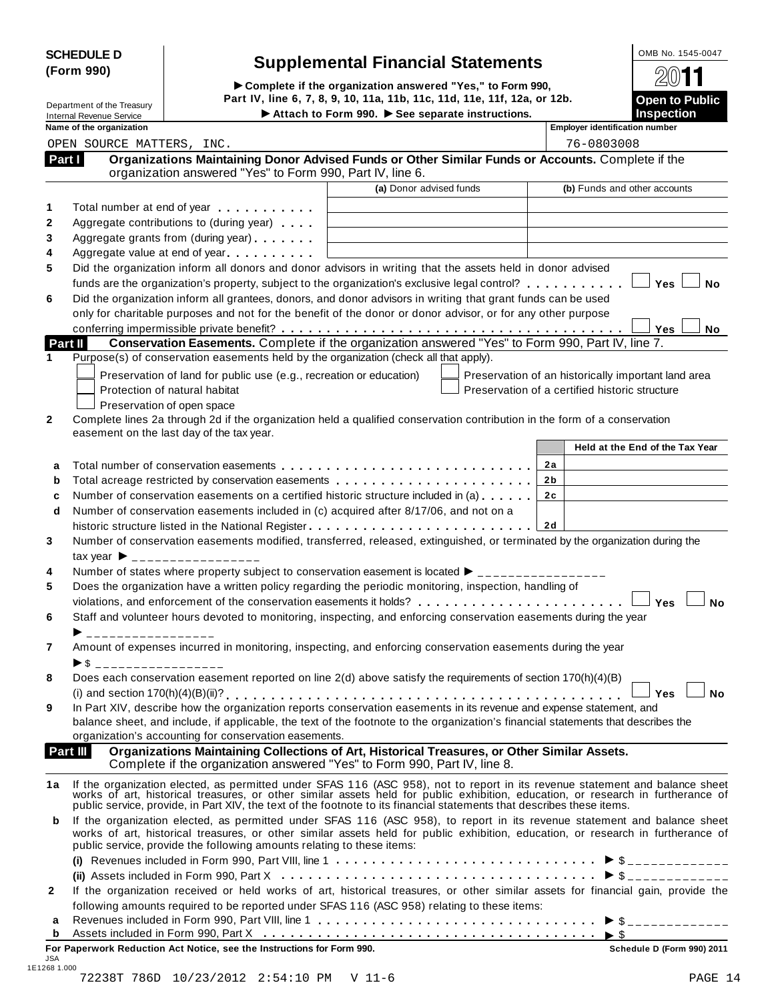| <b>SCHEDULE D</b> |  |
|-------------------|--|
| (Form 990)        |  |

# **SCHEDULE <sup>D</sup>** OMB No. 1545-0047 **Supplemental Financial Statements (Form 990)**

(Form 990)<br>  $\triangleright$  Complete if the organization answered "Yes," to Form 990,<br>
Department of the Treasury Part IV, line 6, 7, 8, 9, 10, 11a, 11b, 11c, 11d, 11e, 11f, 12a, or 12b. **INSPECTED INTEREST INTEREST INTEREST IN A THE COLLECT IN A THE COLLECT IN A THE COLLECT IN A THE COLLECT IN A THE COLLECT INTEREST IN A THE COLLECT INTEREST IN A THE COLLECT IN A THE COLLECT IN A THE COLLECT IN A THE COL** 

|              | Name of the organization                                                                                                                                                                                                                                                                                                      |                         | <b>Employer identification number</b>               |
|--------------|-------------------------------------------------------------------------------------------------------------------------------------------------------------------------------------------------------------------------------------------------------------------------------------------------------------------------------|-------------------------|-----------------------------------------------------|
|              | OPEN SOURCE MATTERS, INC.                                                                                                                                                                                                                                                                                                     |                         | 76-0803008                                          |
|              | Organizations Maintaining Donor Advised Funds or Other Similar Funds or Accounts. Complete if the<br>Part I<br>organization answered "Yes" to Form 990, Part IV, line 6.                                                                                                                                                      |                         |                                                     |
|              |                                                                                                                                                                                                                                                                                                                               | (a) Donor advised funds | (b) Funds and other accounts                        |
| 1            | Total number at end of year                                                                                                                                                                                                                                                                                                   |                         |                                                     |
| 2            | Aggregate contributions to (during year)                                                                                                                                                                                                                                                                                      |                         |                                                     |
| 3            | Aggregate grants from (during year)                                                                                                                                                                                                                                                                                           |                         |                                                     |
| 4            | Aggregate value at end of year                                                                                                                                                                                                                                                                                                |                         |                                                     |
| 5            | Did the organization inform all donors and donor advisors in writing that the assets held in donor advised                                                                                                                                                                                                                    |                         |                                                     |
| 6            | funds are the organization's property, subject to the organization's exclusive legal control?<br>Did the organization inform all grantees, donors, and donor advisors in writing that grant funds can be used<br>only for charitable purposes and not for the benefit of the donor or donor advisor, or for any other purpose |                         | <sup>∣</sup> Yes<br><b>No</b>                       |
|              | Conservation Easements. Complete if the organization answered "Yes" to Form 990, Part IV, line 7.<br>Part II                                                                                                                                                                                                                  |                         | <b>No</b><br>Yes                                    |
| $\mathbf 1$  | Purpose(s) of conservation easements held by the organization (check all that apply).                                                                                                                                                                                                                                         |                         |                                                     |
|              |                                                                                                                                                                                                                                                                                                                               |                         |                                                     |
|              | Preservation of land for public use (e.g., recreation or education)                                                                                                                                                                                                                                                           |                         | Preservation of an historically important land area |
|              | Protection of natural habitat                                                                                                                                                                                                                                                                                                 |                         | Preservation of a certified historic structure      |
|              | Preservation of open space                                                                                                                                                                                                                                                                                                    |                         |                                                     |
| 2            | Complete lines 2a through 2d if the organization held a qualified conservation contribution in the form of a conservation                                                                                                                                                                                                     |                         |                                                     |
|              | easement on the last day of the tax year.                                                                                                                                                                                                                                                                                     |                         |                                                     |
|              |                                                                                                                                                                                                                                                                                                                               |                         | Held at the End of the Tax Year                     |
| a            |                                                                                                                                                                                                                                                                                                                               |                         | 2a                                                  |
| b            |                                                                                                                                                                                                                                                                                                                               |                         | 2 <sub>b</sub>                                      |
| c            | Number of conservation easements on a certified historic structure included in (a)                                                                                                                                                                                                                                            |                         | 2c                                                  |
| d            | Number of conservation easements included in (c) acquired after 8/17/06, and not on a                                                                                                                                                                                                                                         |                         |                                                     |
|              |                                                                                                                                                                                                                                                                                                                               |                         |                                                     |
| 3            | Number of conservation easements modified, transferred, released, extinguished, or terminated by the organization during the                                                                                                                                                                                                  |                         |                                                     |
|              | $\text{tax year}$ $\triangleright$ _________________                                                                                                                                                                                                                                                                          |                         |                                                     |
| 4            | Number of states where property subject to conservation easement is located ▶ ________________                                                                                                                                                                                                                                |                         |                                                     |
| 5            | Does the organization have a written policy regarding the periodic monitoring, inspection, handling of                                                                                                                                                                                                                        |                         |                                                     |
|              | violations, and enforcement of the conservation easements it holds?                                                                                                                                                                                                                                                           |                         | <sup>∣</sup> Yes<br><b>No</b>                       |
| 6            | Staff and volunteer hours devoted to monitoring, inspecting, and enforcing conservation easements during the year                                                                                                                                                                                                             |                         |                                                     |
|              | __________________                                                                                                                                                                                                                                                                                                            |                         |                                                     |
| 7            | Amount of expenses incurred in monitoring, inspecting, and enforcing conservation easements during the year                                                                                                                                                                                                                   |                         |                                                     |
|              | $\triangleright$ \$ ___________________                                                                                                                                                                                                                                                                                       |                         |                                                     |
| 8            | Does each conservation easement reported on line 2(d) above satisfy the requirements of section 170(h)(4)(B)                                                                                                                                                                                                                  |                         |                                                     |
|              |                                                                                                                                                                                                                                                                                                                               |                         | $\Box$<br>Yes<br>No                                 |
| 9            | In Part XIV, describe how the organization reports conservation easements in its revenue and expense statement, and                                                                                                                                                                                                           |                         |                                                     |
|              | balance sheet, and include, if applicable, the text of the footnote to the organization's financial statements that describes the                                                                                                                                                                                             |                         |                                                     |
|              | organization's accounting for conservation easements.                                                                                                                                                                                                                                                                         |                         |                                                     |
|              | Organizations Maintaining Collections of Art, Historical Treasures, or Other Similar Assets.<br>Part III                                                                                                                                                                                                                      |                         |                                                     |
|              | Complete if the organization answered "Yes" to Form 990, Part IV, line 8.                                                                                                                                                                                                                                                     |                         |                                                     |
|              |                                                                                                                                                                                                                                                                                                                               |                         |                                                     |
| 1a           | If the organization elected, as permitted under SFAS 116 (ASC 958), not to report in its revenue statement and balance sheet works of art, historical treasures, or other similar assets held for public exhibition, education                                                                                                |                         |                                                     |
|              | public service, provide, in Part XIV, the text of the footnote to its financial statements that describes these items.                                                                                                                                                                                                        |                         |                                                     |
| b            | If the organization elected, as permitted under SFAS 116 (ASC 958), to report in its revenue statement and balance sheet                                                                                                                                                                                                      |                         |                                                     |
|              | works of art, historical treasures, or other similar assets held for public exhibition, education, or research in furtherance of                                                                                                                                                                                              |                         |                                                     |
|              | public service, provide the following amounts relating to these items:                                                                                                                                                                                                                                                        |                         |                                                     |
|              |                                                                                                                                                                                                                                                                                                                               |                         |                                                     |
|              |                                                                                                                                                                                                                                                                                                                               |                         |                                                     |
| $\mathbf{2}$ | If the organization received or held works of art, historical treasures, or other similar assets for financial gain, provide the                                                                                                                                                                                              |                         |                                                     |
|              | following amounts required to be reported under SFAS 116 (ASC 958) relating to these items:                                                                                                                                                                                                                                   |                         |                                                     |
|              |                                                                                                                                                                                                                                                                                                                               |                         |                                                     |
| a            |                                                                                                                                                                                                                                                                                                                               |                         |                                                     |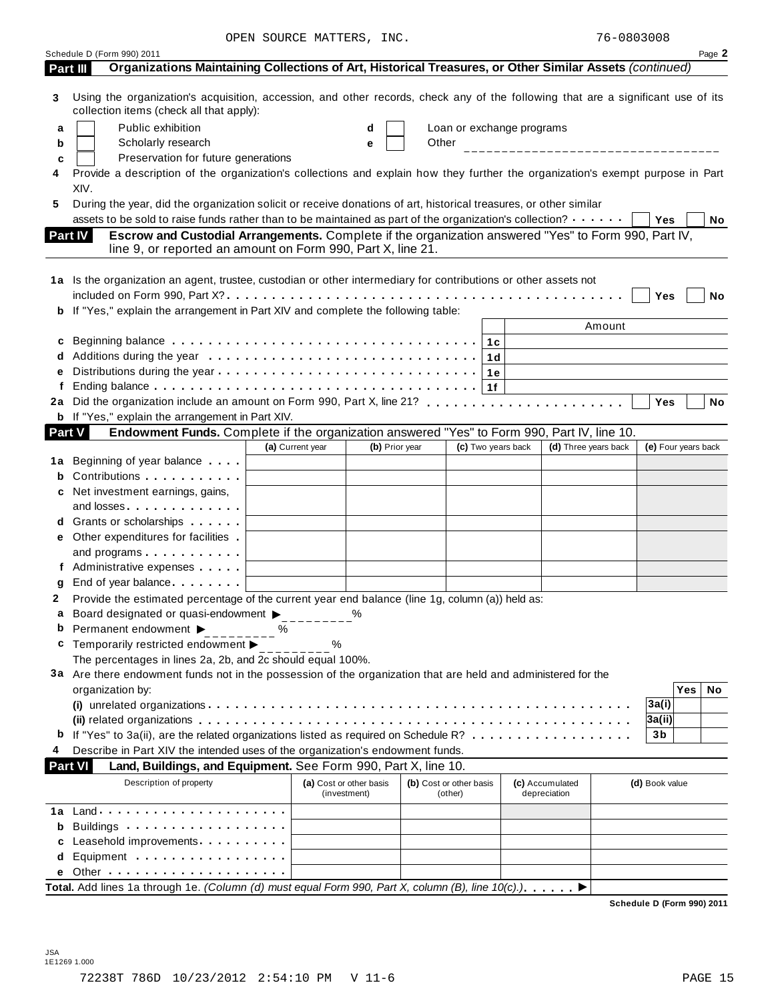|               | Schedule D (Form 990) 2011                                                                                                                                                     |                  |                                         |       |                                    |                           |                                  |        |                     |            | Page 2 |
|---------------|--------------------------------------------------------------------------------------------------------------------------------------------------------------------------------|------------------|-----------------------------------------|-------|------------------------------------|---------------------------|----------------------------------|--------|---------------------|------------|--------|
|               | Organizations Maintaining Collections of Art, Historical Treasures, or Other Similar Assets (continued)<br>Part III                                                            |                  |                                         |       |                                    |                           |                                  |        |                     |            |        |
| 3             | Using the organization's acquisition, accession, and other records, check any of the following that are a significant use of its<br>collection items (check all that apply):   |                  |                                         |       |                                    |                           |                                  |        |                     |            |        |
| а             | Public exhibition                                                                                                                                                              |                  | d                                       |       |                                    | Loan or exchange programs |                                  |        |                     |            |        |
| b             | Scholarly research                                                                                                                                                             |                  | e                                       | Other |                                    |                           | ________________________________ |        |                     |            |        |
| c             | Preservation for future generations                                                                                                                                            |                  |                                         |       |                                    |                           |                                  |        |                     |            |        |
| 4             | Provide a description of the organization's collections and explain how they further the organization's exempt purpose in Part                                                 |                  |                                         |       |                                    |                           |                                  |        |                     |            |        |
|               | XIV.                                                                                                                                                                           |                  |                                         |       |                                    |                           |                                  |        |                     |            |        |
| 5             | During the year, did the organization solicit or receive donations of art, historical treasures, or other similar                                                              |                  |                                         |       |                                    |                           |                                  |        |                     |            |        |
|               | assets to be sold to raise funds rather than to be maintained as part of the organization's collection?                                                                        |                  |                                         |       |                                    |                           |                                  |        | Yes                 |            | No     |
|               | Escrow and Custodial Arrangements. Complete if the organization answered "Yes" to Form 990, Part IV,<br>Part IV<br>line 9, or reported an amount on Form 990, Part X, line 21. |                  |                                         |       |                                    |                           |                                  |        |                     |            |        |
|               | 1a Is the organization an agent, trustee, custodian or other intermediary for contributions or other assets not                                                                |                  |                                         |       |                                    |                           |                                  |        |                     |            |        |
|               |                                                                                                                                                                                |                  |                                         |       |                                    |                           |                                  |        | Yes                 |            | No     |
|               | b If "Yes," explain the arrangement in Part XIV and complete the following table:                                                                                              |                  |                                         |       |                                    |                           |                                  |        |                     |            |        |
|               |                                                                                                                                                                                |                  |                                         |       |                                    |                           |                                  | Amount |                     |            |        |
|               |                                                                                                                                                                                |                  |                                         |       |                                    |                           |                                  |        |                     |            |        |
|               |                                                                                                                                                                                |                  |                                         |       |                                    | 1 d                       |                                  |        |                     |            |        |
| е             |                                                                                                                                                                                |                  |                                         |       | 1е                                 |                           |                                  |        |                     |            |        |
| f             |                                                                                                                                                                                |                  |                                         |       | 1f                                 |                           |                                  |        |                     |            |        |
|               |                                                                                                                                                                                |                  |                                         |       |                                    |                           |                                  |        | Yes                 |            | No     |
|               | <b>b</b> If "Yes," explain the arrangement in Part XIV.                                                                                                                        |                  |                                         |       |                                    |                           |                                  |        |                     |            |        |
| <b>Part V</b> | Endowment Funds. Complete if the organization answered "Yes" to Form 990, Part IV, line 10.                                                                                    |                  |                                         |       |                                    |                           |                                  |        |                     |            |        |
|               |                                                                                                                                                                                | (a) Current year | (b) Prior year                          |       |                                    | (c) Two years back        | (d) Three years back             |        | (e) Four years back |            |        |
|               | <b>1a</b> Beginning of year balance                                                                                                                                            |                  |                                         |       |                                    |                           |                                  |        |                     |            |        |
|               |                                                                                                                                                                                |                  |                                         |       |                                    |                           |                                  |        |                     |            |        |
|               | c Net investment earnings, gains,                                                                                                                                              |                  |                                         |       |                                    |                           |                                  |        |                     |            |        |
|               | and losses                                                                                                                                                                     |                  |                                         |       |                                    |                           |                                  |        |                     |            |        |
|               | <b>d</b> Grants or scholarships <b>contains</b>                                                                                                                                |                  |                                         |       |                                    |                           |                                  |        |                     |            |        |
|               | <b>e</b> Other expenditures for facilities                                                                                                                                     |                  |                                         |       |                                    |                           |                                  |        |                     |            |        |
|               | and programs                                                                                                                                                                   |                  |                                         |       |                                    |                           |                                  |        |                     |            |        |
|               | f Administrative expenses                                                                                                                                                      |                  |                                         |       |                                    |                           |                                  |        |                     |            |        |
| g             | End of year balance expansion of the same of the same of the same of the same of the same of the same of the s                                                                 |                  |                                         |       |                                    |                           |                                  |        |                     |            |        |
| 2             | Provide the estimated percentage of the current year end balance (line 1g, column (a)) held as:                                                                                |                  |                                         |       |                                    |                           |                                  |        |                     |            |        |
| a             | Board designated or quasi-endowment ><br><b>b</b> Permanent endowment $\blacktriangleright$                                                                                    | %                | %                                       |       |                                    |                           |                                  |        |                     |            |        |
|               | Temporarily restricted endowment ▶                                                                                                                                             | $\%$             |                                         |       |                                    |                           |                                  |        |                     |            |        |
|               | The percentages in lines 2a, 2b, and 2c should equal 100%.                                                                                                                     |                  |                                         |       |                                    |                           |                                  |        |                     |            |        |
|               | 3a Are there endowment funds not in the possession of the organization that are held and administered for the                                                                  |                  |                                         |       |                                    |                           |                                  |        |                     |            |        |
|               | organization by:                                                                                                                                                               |                  |                                         |       |                                    |                           |                                  |        |                     | <b>Yes</b> | No     |
|               |                                                                                                                                                                                |                  |                                         |       |                                    |                           |                                  |        | 3a(i)               |            |        |
|               |                                                                                                                                                                                |                  |                                         |       |                                    |                           |                                  |        | 3a(ii)              |            |        |
|               |                                                                                                                                                                                |                  |                                         |       |                                    |                           |                                  |        | 3 <sub>b</sub>      |            |        |
|               | Describe in Part XIV the intended uses of the organization's endowment funds.                                                                                                  |                  |                                         |       |                                    |                           |                                  |        |                     |            |        |
|               | Land, Buildings, and Equipment. See Form 990, Part X, line 10.<br><b>Part VI</b>                                                                                               |                  |                                         |       |                                    |                           |                                  |        |                     |            |        |
|               | Description of property                                                                                                                                                        |                  | (a) Cost or other basis<br>(investment) |       | (b) Cost or other basis<br>(other) |                           | (c) Accumulated<br>depreciation  |        | (d) Book value      |            |        |
|               |                                                                                                                                                                                |                  |                                         |       |                                    |                           |                                  |        |                     |            |        |
| b             | Buildings                                                                                                                                                                      |                  |                                         |       |                                    |                           |                                  |        |                     |            |        |
|               | Leasehold improvements <b>Leasehold</b> improvements                                                                                                                           |                  |                                         |       |                                    |                           |                                  |        |                     |            |        |
| d             | Equipment                                                                                                                                                                      |                  |                                         |       |                                    |                           |                                  |        |                     |            |        |
|               |                                                                                                                                                                                |                  |                                         |       |                                    |                           |                                  |        |                     |            |        |
|               | Total. Add lines 1a through 1e. (Column (d) must equal Form 990, Part X, column (B), line $10(c)$ .)                                                                           |                  |                                         |       |                                    |                           |                                  |        |                     |            |        |

**Schedule D (Form 990) 2011**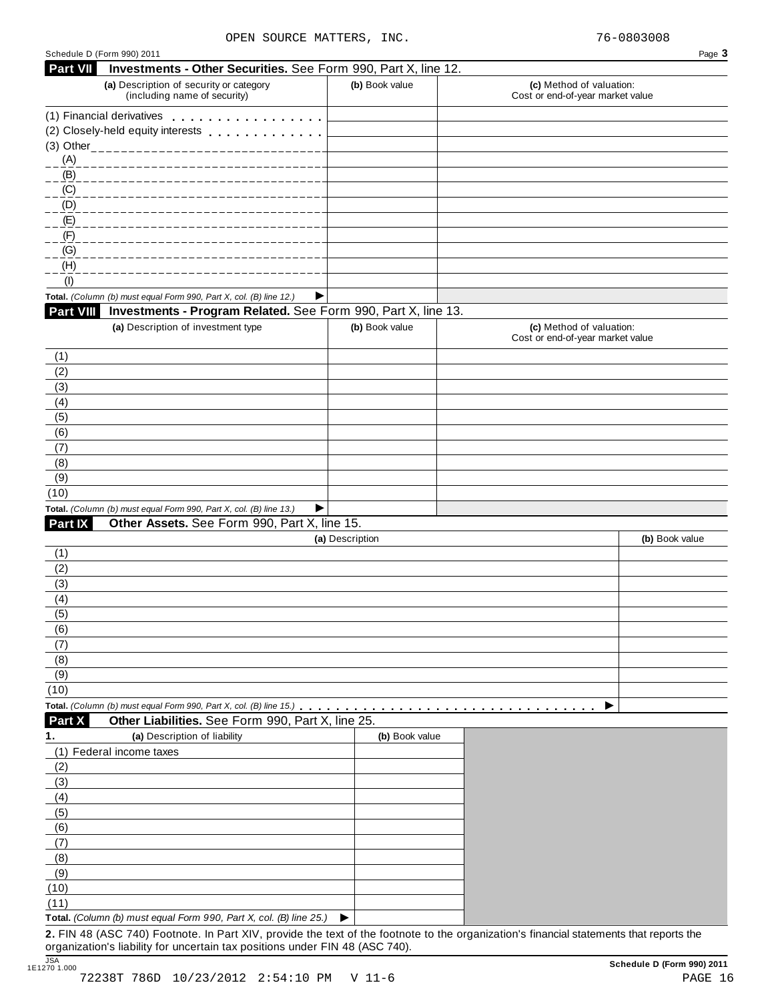| <b>Part VII</b>                                                | Schedule D (Form 990) 2011                                                                                    |                 |                                                              | Page 3         |
|----------------------------------------------------------------|---------------------------------------------------------------------------------------------------------------|-----------------|--------------------------------------------------------------|----------------|
|                                                                | Investments - Other Securities. See Form 990, Part X, line 12.                                                |                 |                                                              |                |
|                                                                | (a) Description of security or category<br>(including name of security)                                       | (b) Book value  | (c) Method of valuation:<br>Cost or end-of-year market value |                |
|                                                                | (1) Financial derivatives                                                                                     |                 |                                                              |                |
|                                                                | (2) Closely-held equity interests entitled and closely-held equity interests                                  |                 |                                                              |                |
|                                                                |                                                                                                               |                 |                                                              |                |
| (A)                                                            | --------------------------------                                                                              |                 |                                                              |                |
| (B)                                                            |                                                                                                               |                 |                                                              |                |
| (C)<br>_ _ _ _ _ _ _ _ _ _ _                                   |                                                                                                               |                 |                                                              |                |
| (D)                                                            |                                                                                                               |                 |                                                              |                |
| (E)                                                            |                                                                                                               |                 |                                                              |                |
| (F)                                                            |                                                                                                               |                 |                                                              |                |
| (G)                                                            |                                                                                                               |                 |                                                              |                |
| (H)                                                            |                                                                                                               |                 |                                                              |                |
| (1)                                                            |                                                                                                               |                 |                                                              |                |
|                                                                | Total. (Column (b) must equal Form 990, Part X, col. (B) line 12.)<br>▶                                       |                 |                                                              |                |
| <b>Part VIII</b>                                               | Investments - Program Related. See Form 990, Part X, line 13.                                                 |                 |                                                              |                |
|                                                                | (a) Description of investment type                                                                            | (b) Book value  | (c) Method of valuation:                                     |                |
|                                                                |                                                                                                               |                 | Cost or end-of-year market value                             |                |
| (1)                                                            |                                                                                                               |                 |                                                              |                |
| (2)                                                            |                                                                                                               |                 |                                                              |                |
| (3)                                                            |                                                                                                               |                 |                                                              |                |
| (4)                                                            |                                                                                                               |                 |                                                              |                |
| (5)                                                            |                                                                                                               |                 |                                                              |                |
| (6)                                                            |                                                                                                               |                 |                                                              |                |
| (7)                                                            |                                                                                                               |                 |                                                              |                |
| (8)                                                            |                                                                                                               |                 |                                                              |                |
| (9)                                                            |                                                                                                               |                 |                                                              |                |
| (10)                                                           |                                                                                                               |                 |                                                              |                |
|                                                                | Total. (Column (b) must equal Form 990, Part X, col. (B) line 13.)<br>▶                                       |                 |                                                              |                |
| Part IX                                                        | Other Assets. See Form 990, Part X, line 15.                                                                  |                 |                                                              |                |
|                                                                |                                                                                                               | (a) Description |                                                              | (b) Book value |
| (1)                                                            |                                                                                                               |                 |                                                              |                |
| (2)                                                            |                                                                                                               |                 |                                                              |                |
| (3)                                                            |                                                                                                               |                 |                                                              |                |
| (4)                                                            |                                                                                                               |                 |                                                              |                |
| (5)                                                            |                                                                                                               |                 |                                                              |                |
| (6)                                                            |                                                                                                               |                 |                                                              |                |
| (7)                                                            |                                                                                                               |                 |                                                              |                |
| (8)                                                            |                                                                                                               |                 |                                                              |                |
| (9)                                                            |                                                                                                               |                 |                                                              |                |
|                                                                |                                                                                                               |                 |                                                              |                |
|                                                                |                                                                                                               |                 |                                                              |                |
|                                                                |                                                                                                               |                 |                                                              |                |
|                                                                |                                                                                                               |                 |                                                              |                |
|                                                                |                                                                                                               |                 |                                                              |                |
|                                                                |                                                                                                               |                 |                                                              |                |
|                                                                |                                                                                                               |                 |                                                              |                |
|                                                                |                                                                                                               |                 |                                                              |                |
|                                                                |                                                                                                               |                 |                                                              |                |
|                                                                |                                                                                                               |                 |                                                              |                |
|                                                                |                                                                                                               |                 |                                                              |                |
|                                                                |                                                                                                               |                 |                                                              |                |
|                                                                |                                                                                                               |                 |                                                              |                |
|                                                                |                                                                                                               |                 |                                                              |                |
| (8)<br>(9)<br>(10)                                             |                                                                                                               |                 |                                                              |                |
| (11)                                                           | Total. (Column (b) must equal Form 990, Part X, col. (B) line 25.)                                            |                 |                                                              |                |
| (10)<br>Part X<br>1.<br>(2)<br>(3)<br>(4)<br>(5)<br>(6)<br>(7) | Other Liabilities. See Form 990, Part X, line 25.<br>(a) Description of liability<br>(1) Federal income taxes | (b) Book value  |                                                              |                |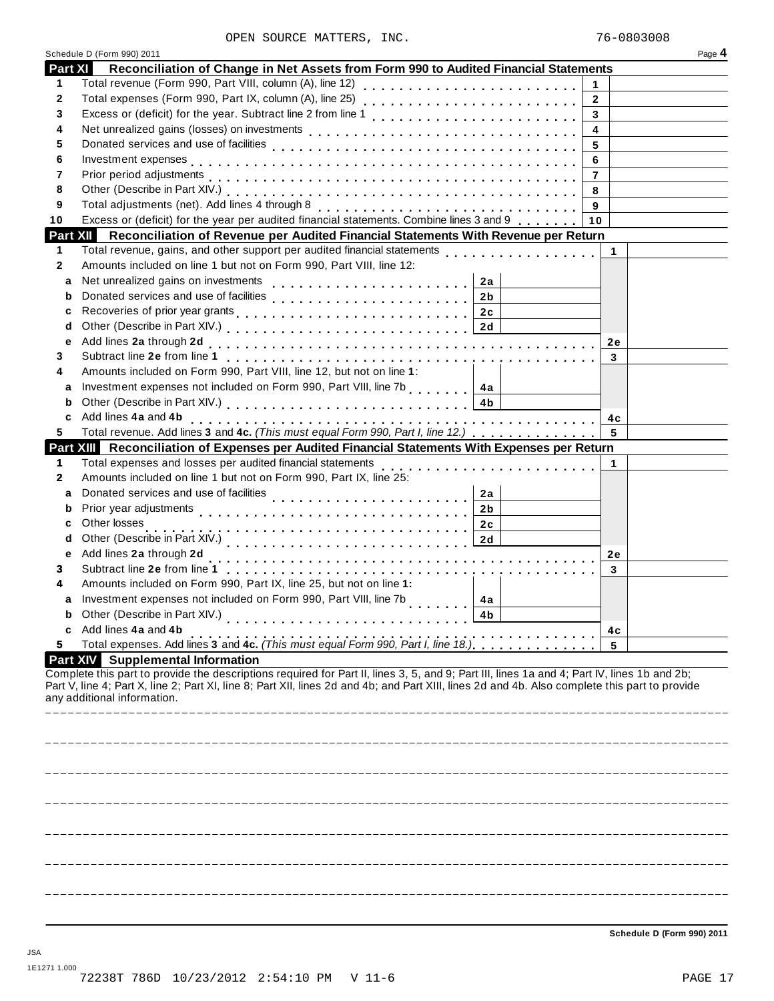|                | Schedule D (Form 990) 2011                                                                                                                                                                                                                                                                                                   |                | Page 4 |
|----------------|------------------------------------------------------------------------------------------------------------------------------------------------------------------------------------------------------------------------------------------------------------------------------------------------------------------------------|----------------|--------|
| <b>Part XI</b> | Reconciliation of Change in Net Assets from Form 990 to Audited Financial Statements                                                                                                                                                                                                                                         |                |        |
| 1              |                                                                                                                                                                                                                                                                                                                              | 1              |        |
| 2              |                                                                                                                                                                                                                                                                                                                              | $\mathbf{2}$   |        |
| 3              |                                                                                                                                                                                                                                                                                                                              | 3              |        |
| 4              |                                                                                                                                                                                                                                                                                                                              | 4              |        |
| 5              |                                                                                                                                                                                                                                                                                                                              | 5              |        |
| 6              |                                                                                                                                                                                                                                                                                                                              | 6              |        |
| 7              |                                                                                                                                                                                                                                                                                                                              | $\overline{7}$ |        |
| 8              |                                                                                                                                                                                                                                                                                                                              | 8              |        |
| 9              | Total adjustments (net). Add lines 4 through 8                                                                                                                                                                                                                                                                               | 9              |        |
| 10             | Excess or (deficit) for the year per audited financial statements. Combine lines 3 and 9                                                                                                                                                                                                                                     | 10             |        |
| Part XII       | Reconciliation of Revenue per Audited Financial Statements With Revenue per Return                                                                                                                                                                                                                                           |                |        |
| 1              | Total revenue, gains, and other support per audited financial statements<br>Total revenue, gains, and other support per audited financial statements                                                                                                                                                                         |                | 1      |
| 2              | Amounts included on line 1 but not on Form 990, Part VIII, line 12:                                                                                                                                                                                                                                                          |                |        |
| a              | Net unrealized gains on investments<br>2a                                                                                                                                                                                                                                                                                    |                |        |
| b              | 2 <sub>b</sub>                                                                                                                                                                                                                                                                                                               |                |        |
| c              |                                                                                                                                                                                                                                                                                                                              |                |        |
| d              |                                                                                                                                                                                                                                                                                                                              |                |        |
| е              |                                                                                                                                                                                                                                                                                                                              |                | 2e     |
| 3              |                                                                                                                                                                                                                                                                                                                              |                | 3      |
| 4              | Amounts included on Form 990, Part VIII, line 12, but not on line 1:                                                                                                                                                                                                                                                         |                |        |
| a              | Investment expenses not included on Form 990, Part VIII, line 7b [14a]                                                                                                                                                                                                                                                       |                |        |
| b              | Other (Describe in Part XIV.) (2000) (2001) (2001) (2001) (2001) (2001) (2002) (2003) (2003) (2003) (2004) (200                                                                                                                                                                                                              |                |        |
| c              |                                                                                                                                                                                                                                                                                                                              |                | 4c     |
| 5              | Total revenue. Add lines 3 and 4c. (This must equal Form 990, Part I, line 12.)                                                                                                                                                                                                                                              |                | 5      |
|                | Part XIII Reconciliation of Expenses per Audited Financial Statements With Expenses per Return                                                                                                                                                                                                                               |                |        |
| 1              | Total expenses and losses per audited financial statements                                                                                                                                                                                                                                                                   |                |        |
| 2              | .<br>Amounts included on line 1 but not on Form 990, Part IX, line 25:                                                                                                                                                                                                                                                       |                |        |
| a              | Donated services and use of facilities<br>2a                                                                                                                                                                                                                                                                                 |                |        |
| b              | Prior year adjustments<br>2 <sub>b</sub>                                                                                                                                                                                                                                                                                     |                |        |
| c              | Other losses<br>2c                                                                                                                                                                                                                                                                                                           |                |        |
| d              | 2d                                                                                                                                                                                                                                                                                                                           |                |        |
| е              | Other (Describe in Part XIV.)<br>1. The matrix of the state of the state of the state of the state of the state of the state of the state of the state of the state of the state of the state of the state of the state of the s<br>Add lines 2a through 2d                                                                  |                | 2e     |
| 3              |                                                                                                                                                                                                                                                                                                                              |                | 3      |
| 4              | Amounts included on Form 990, Part IX, line 25, but not on line 1:                                                                                                                                                                                                                                                           |                |        |
| a              | Investment expenses not included on Form 990, Part VIII, line 7b<br>4a                                                                                                                                                                                                                                                       |                |        |
|                | Other (Describe in Part XIV.)<br>4 <sub>b</sub>                                                                                                                                                                                                                                                                              |                |        |
| c              | .<br>Add lines 4a and 4b                                                                                                                                                                                                                                                                                                     |                |        |
| 5              | Total expenses. Add lines 3 and 4c. (This must equal Form 990, Part I, line 18.)<br>Total expenses. Add lines 3 and 4c. (This must equal Form 990, Part I, line 18.)                                                                                                                                                         | 5              | 4с     |
|                | <b>Part XIV</b> Supplemental Information                                                                                                                                                                                                                                                                                     |                |        |
|                | Complete this part to provide the descriptions required for Part II, lines 3, 5, and 9; Part III, lines 1a and 4; Part IV, lines 1b and 2b;<br>Part V, line 4; Part X, line 2; Part XI, line 8; Part XII, lines 2d and 4b; and Part XIII, lines 2d and 4b. Also complete this part to provide<br>any additional information. |                |        |
|                |                                                                                                                                                                                                                                                                                                                              |                |        |
|                |                                                                                                                                                                                                                                                                                                                              |                |        |
|                |                                                                                                                                                                                                                                                                                                                              |                |        |
|                |                                                                                                                                                                                                                                                                                                                              |                |        |
|                |                                                                                                                                                                                                                                                                                                                              |                |        |
|                |                                                                                                                                                                                                                                                                                                                              |                |        |
|                |                                                                                                                                                                                                                                                                                                                              |                |        |
|                |                                                                                                                                                                                                                                                                                                                              |                |        |
|                |                                                                                                                                                                                                                                                                                                                              |                |        |
|                |                                                                                                                                                                                                                                                                                                                              |                |        |
|                |                                                                                                                                                                                                                                                                                                                              |                |        |
|                |                                                                                                                                                                                                                                                                                                                              |                |        |
|                |                                                                                                                                                                                                                                                                                                                              |                |        |

**Schedule D (Form 990) 2011**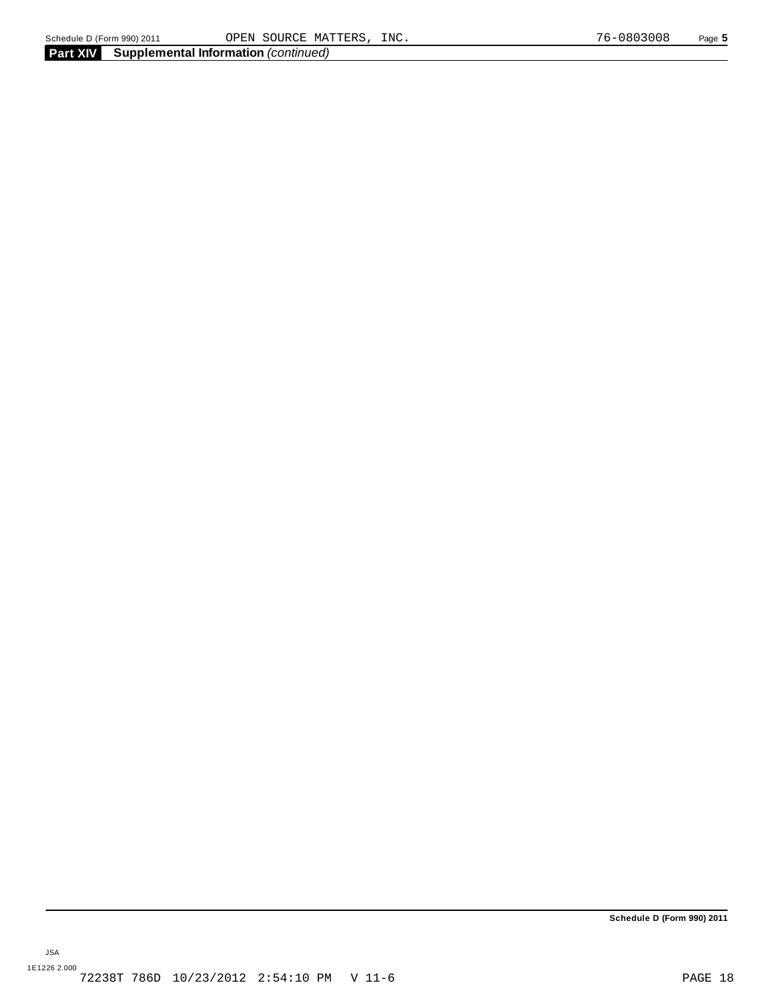JSA

**Schedule D (Form 990) 2011**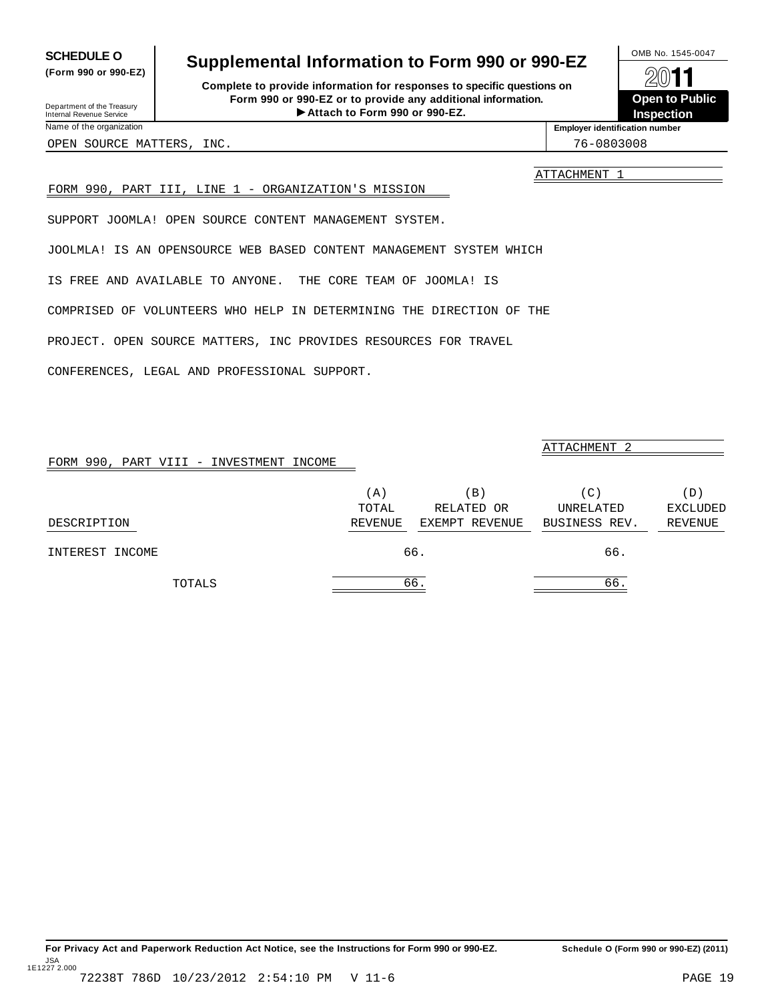For Privacy Act and Paperwork Reduction Act Notice, see the Instructions for Form 990 or 990-EZ. Schedule O (Form 990 or 990-EZ) (2011) JSA 1E1227 2.000

# <span id="page-17-0"></span>**SCHEDULE O** Supplemental Information to Form 990 or 990-EZ  $\frac{100\text{dB No. }1545-0047}{\text{O}}$

**Complete to provide information for responses to specific questions on Form 990 or 990-EZ or to provide any additional information.**<br>■ Attach to Form 990 or 990-EZ. Fristen **Attach for responses to specific questions on**<br>
1990-EZ or to provide any additional information.<br>
Attach to Form 990 or 990-EZ.<br>
Attach to Form 990 or 990-EZ.

**Open to Public Inspection**

Department of the Treasury Internal Revenue Service Name of the organizatio

**(Form 990 or 990-EZ)**

OPEN SOURCE MATTERS, INC. THE SOURCE OPEN SOURCE MATTERS, INC.

ATTACHMENT 1

**Employer identification number**

### FORM 990, PART III, LINE 1 - ORGANIZATION'S MISSION

SUPPORT JOOMLA! OPEN SOURCE CONTENT MANAGEMENT SYSTEM.

JOOLMLA! IS AN OPENSOURCE WEB BASED CONTENT MANAGEMENT SYSTEM WHICH

IS FREE AND AVAILABLE TO ANYONE. THE CORE TEAM OF JOOMLA! IS

COMPRISED OF VOLUNTEERS WHO HELP IN DETERMINING THE DIRECTION OF THE

PROJECT. OPEN SOURCE MATTERS, INC PROVIDES RESOURCES FOR TRAVEL

CONFERENCES, LEGAL AND PROFESSIONAL SUPPORT.

| FORM 990, PART VIII - INVESTMENT INCOME |         |                 | ATTACHMENT 2  |                 |
|-----------------------------------------|---------|-----------------|---------------|-----------------|
|                                         |         |                 |               |                 |
|                                         | (A)     | $\vert B \vert$ | (C)           | (D)             |
|                                         | TOTAL   | RELATED OR      | UNRELATED     | <b>EXCLUDED</b> |
| DESCRIPTION                             | REVENUE | EXEMPT REVENUE  | BUSINESS REV. | REVENUE         |
| INTEREST INCOME                         |         | 66.             | 66.           |                 |
| TOTALS                                  |         | 66.             | 66.           |                 |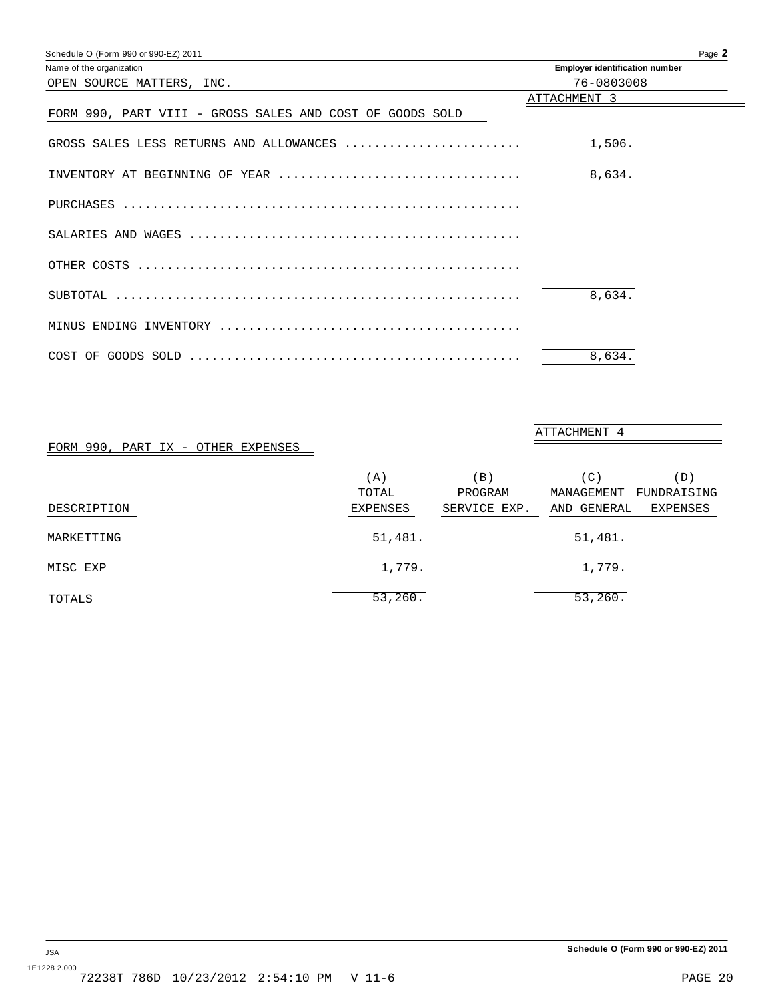<span id="page-18-0"></span>

| Schedule O (Form 990 or 990-EZ) 2011                     | Page 2                                |
|----------------------------------------------------------|---------------------------------------|
| Name of the organization                                 | <b>Employer identification number</b> |
| OPEN SOURCE MATTERS, INC.                                | 76-0803008                            |
|                                                          | ATTACHMENT 3                          |
| FORM 990, PART VIII - GROSS SALES AND COST OF GOODS SOLD |                                       |
| GROSS SALES LESS RETURNS AND ALLOWANCES                  | 1,506.                                |
| INVENTORY AT BEGINNING OF YEAR                           | 8,634.                                |
|                                                          |                                       |
|                                                          |                                       |
|                                                          |                                       |
|                                                          | 8.634.                                |
|                                                          |                                       |
|                                                          | 8,634.                                |

#### FORM 990, PART IX - OTHER EXPENSES

(A)  $(B)$  (C)  $(D)$  TOTAL PROGRAM MANAGEMENT FUNDRAISING DESCRIPTION EXPENSES SERVICE EXP. AND GENERAL EXPENSES MARKETTING 51,481. MISC EXP  $1,779$ .  $1,779$ . TOTALS 53,260. 53,260.

ATTACHMENT 4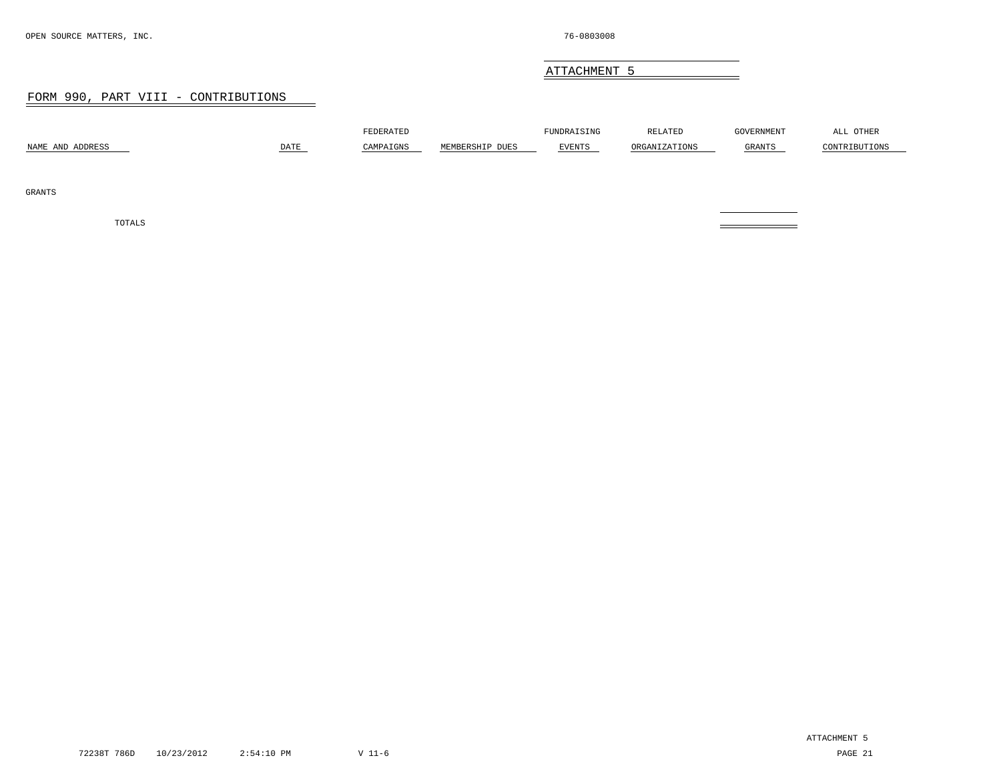### ATTACHMENT 5

 $\equiv$ 

#### FORM 990, PART VIII - CONTRIBUTIONS

<span id="page-19-0"></span>

| NAME AND ADDRESS | $DATE$ | FEDERATED<br>CAMPAIGNS | MEMBERSHIP DUES | FUNDRAISING<br>EVENTS | RELATED<br>ORGANIZATIONS | GOVERNMENT<br>GRANTS | ALL OTHER<br>CONTRIBUTIONS |
|------------------|--------|------------------------|-----------------|-----------------------|--------------------------|----------------------|----------------------------|
| GRANTS           |        |                        |                 |                       |                          |                      |                            |
| TOTALS           |        |                        |                 |                       |                          |                      |                            |

72238T 786D 10/23/2012 2:54:10 PM V 11-6 PAGE 21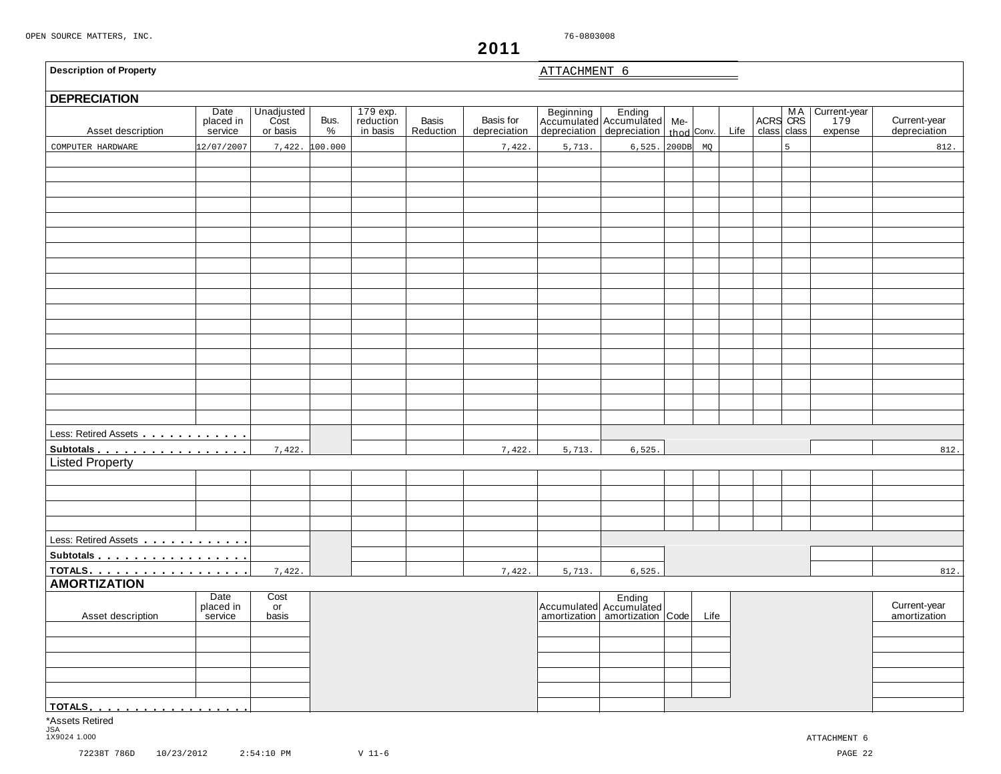$\mathsf{r}$ 

**2011**

<span id="page-20-0"></span>

| <b>Description of Property</b>                               |                              |                                |              |                                   |                    |                           | ATTACHMENT 6 |                                                                                         |      |      |                   |                |                                |                              |
|--------------------------------------------------------------|------------------------------|--------------------------------|--------------|-----------------------------------|--------------------|---------------------------|--------------|-----------------------------------------------------------------------------------------|------|------|-------------------|----------------|--------------------------------|------------------------------|
| <b>DEPRECIATION</b>                                          |                              |                                |              |                                   |                    |                           |              |                                                                                         |      |      |                   |                |                                |                              |
| Asset description                                            | Date<br>placed in<br>service | Unadjusted<br>Cost<br>or basis | Bus.<br>$\%$ | 179 exp.<br>reduction<br>in basis | Basis<br>Reduction | Basis for<br>depreciation |              | Beginning Ending<br>Accumulated Accumulated Me-<br>depreciation depreciation thod Conv. |      | Life | ACRS CRS<br>class | class          | Current-year<br>179<br>expense | Current-year<br>depreciation |
| COMPUTER HARDWARE                                            | 2/07/2007                    | 7,422.                         | 100.000      |                                   |                    | 7,422.                    | 5,713.       | $6,525.$ 200DB $MQ$                                                                     |      |      |                   | $\overline{5}$ |                                | 812.                         |
|                                                              |                              |                                |              |                                   |                    |                           |              |                                                                                         |      |      |                   |                |                                |                              |
|                                                              |                              |                                |              |                                   |                    |                           |              |                                                                                         |      |      |                   |                |                                |                              |
|                                                              |                              |                                |              |                                   |                    |                           |              |                                                                                         |      |      |                   |                |                                |                              |
|                                                              |                              |                                |              |                                   |                    |                           |              |                                                                                         |      |      |                   |                |                                |                              |
|                                                              |                              |                                |              |                                   |                    |                           |              |                                                                                         |      |      |                   |                |                                |                              |
|                                                              |                              |                                |              |                                   |                    |                           |              |                                                                                         |      |      |                   |                |                                |                              |
|                                                              |                              |                                |              |                                   |                    |                           |              |                                                                                         |      |      |                   |                |                                |                              |
|                                                              |                              |                                |              |                                   |                    |                           |              |                                                                                         |      |      |                   |                |                                |                              |
|                                                              |                              |                                |              |                                   |                    |                           |              |                                                                                         |      |      |                   |                |                                |                              |
|                                                              |                              |                                |              |                                   |                    |                           |              |                                                                                         |      |      |                   |                |                                |                              |
|                                                              |                              |                                |              |                                   |                    |                           |              |                                                                                         |      |      |                   |                |                                |                              |
|                                                              |                              |                                |              |                                   |                    |                           |              |                                                                                         |      |      |                   |                |                                |                              |
|                                                              |                              |                                |              |                                   |                    |                           |              |                                                                                         |      |      |                   |                |                                |                              |
|                                                              |                              |                                |              |                                   |                    |                           |              |                                                                                         |      |      |                   |                |                                |                              |
|                                                              |                              |                                |              |                                   |                    |                           |              |                                                                                         |      |      |                   |                |                                |                              |
|                                                              |                              |                                |              |                                   |                    |                           |              |                                                                                         |      |      |                   |                |                                |                              |
|                                                              |                              |                                |              |                                   |                    |                           |              |                                                                                         |      |      |                   |                |                                |                              |
|                                                              |                              |                                |              |                                   |                    |                           |              |                                                                                         |      |      |                   |                |                                |                              |
| Less: Retired Assets <b>All Accepts Less: Retired Assets</b> |                              |                                |              |                                   |                    |                           |              |                                                                                         |      |      |                   |                |                                |                              |
| Subtotals                                                    |                              | 7,422.                         |              |                                   |                    | 7,422.                    | 5,713.       | 6, 525.                                                                                 |      |      |                   |                |                                | 812.                         |
| <b>Listed Property</b>                                       |                              |                                |              |                                   |                    |                           |              |                                                                                         |      |      |                   |                |                                |                              |
|                                                              |                              |                                |              |                                   |                    |                           |              |                                                                                         |      |      |                   |                |                                |                              |
|                                                              |                              |                                |              |                                   |                    |                           |              |                                                                                         |      |      |                   |                |                                |                              |
|                                                              |                              |                                |              |                                   |                    |                           |              |                                                                                         |      |      |                   |                |                                |                              |
|                                                              |                              |                                |              |                                   |                    |                           |              |                                                                                         |      |      |                   |                |                                |                              |
| Less: Retired Assets                                         |                              |                                |              |                                   |                    |                           |              |                                                                                         |      |      |                   |                |                                |                              |
| Subtotals                                                    |                              |                                |              |                                   |                    |                           |              |                                                                                         |      |      |                   |                |                                |                              |
| TOTALS.                                                      |                              | 7,422.                         |              |                                   |                    | 7,422.                    | 5,713.       | 6,525.                                                                                  |      |      |                   |                |                                | 812.                         |
| <b>AMORTIZATION</b>                                          |                              |                                |              |                                   |                    |                           |              |                                                                                         |      |      |                   |                |                                |                              |
|                                                              | Date                         | $\overline{\text{Cost}}$       |              |                                   |                    |                           |              |                                                                                         |      |      |                   |                |                                |                              |
| Asset description                                            | placed in<br>service         | or<br>basis                    |              |                                   |                    |                           |              | Accumulated Accumulated<br>amortization amortization Code                               | Life |      |                   |                |                                | Current-year<br>amortization |
|                                                              |                              |                                |              |                                   |                    |                           |              |                                                                                         |      |      |                   |                |                                |                              |
|                                                              |                              |                                |              |                                   |                    |                           |              |                                                                                         |      |      |                   |                |                                |                              |
|                                                              |                              |                                |              |                                   |                    |                           |              |                                                                                         |      |      |                   |                |                                |                              |
|                                                              |                              |                                |              |                                   |                    |                           |              |                                                                                         |      |      |                   |                |                                |                              |
|                                                              |                              |                                |              |                                   |                    |                           |              |                                                                                         |      |      |                   |                |                                |                              |
|                                                              |                              |                                |              |                                   |                    |                           |              |                                                                                         |      |      |                   |                |                                |                              |
| <u>TOTALS</u><br>*Assets Retired                             |                              |                                |              |                                   |                    |                           |              |                                                                                         |      |      |                   |                |                                |                              |

\*Assets Retired JSA 1X9024 1.000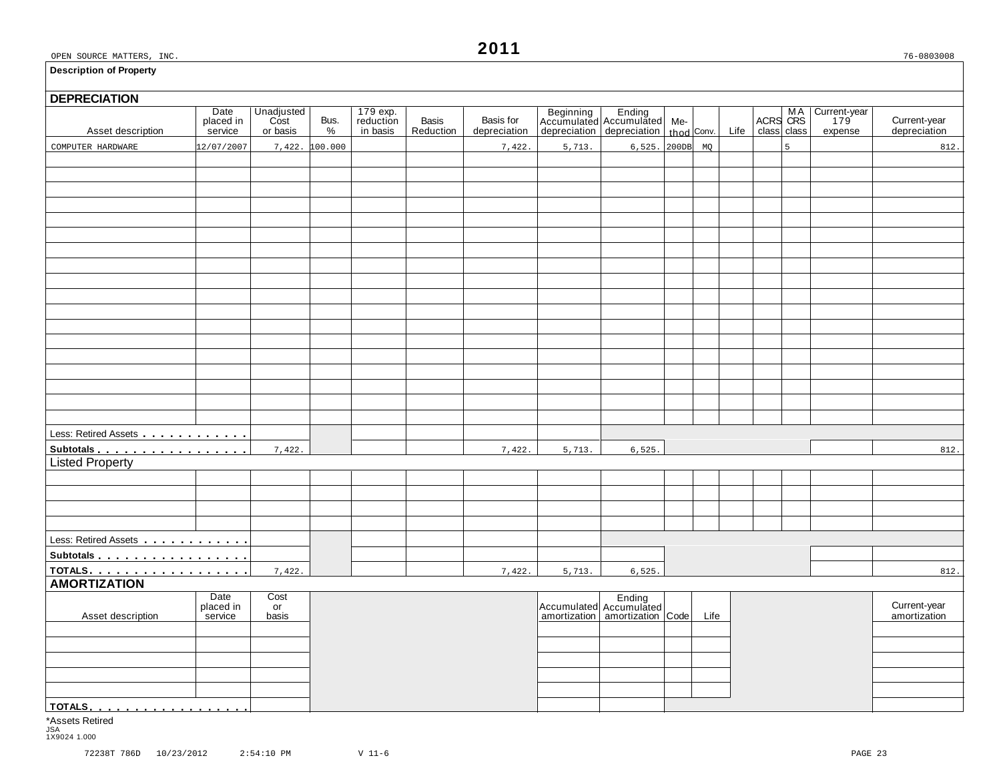#### **Description of Property**

# **DEPRECIATION** Basis of Busining Ending Me Accumulated Me ACRS CRS 179 Current-year placed in Cost Bus. reduction Basis Basis for Accumulated Accumulated Me ACRS CRS 179 Current-year placed in Cost Bus. reduction Basis Basis for Accumula Less: Retired Assets . . . . . . . . . . . . Subtotals **manual**<br>Listed Property Less: Retired Assets manual manual models **Subtotals <u>magines mass</u> models in the series of the series of the series of the series of the series of the series of the series of the series of the series of the series of the series of the series of the series of the AMORTIZATION**<br>AMORTIZATION<br>Date Cost and Date Cost Date Cost Ending Ending<br>
Placed in or placed in the current-year late of Accumulated Accumulated Accumulated and Life amortization amortization amortization amortization amortization amortization amortization **TOTALS**mmmmmmmmmmmmmmmmmm COMPUTER HARDWARE 12/07/2007 7,422. 100.000 7,422. 5,713. 6,525. 200DB MQ 5 812.  $7,422.$  5,713. 6,525. 812.  $7,422.$  812. 7,422.

\*Assets Retired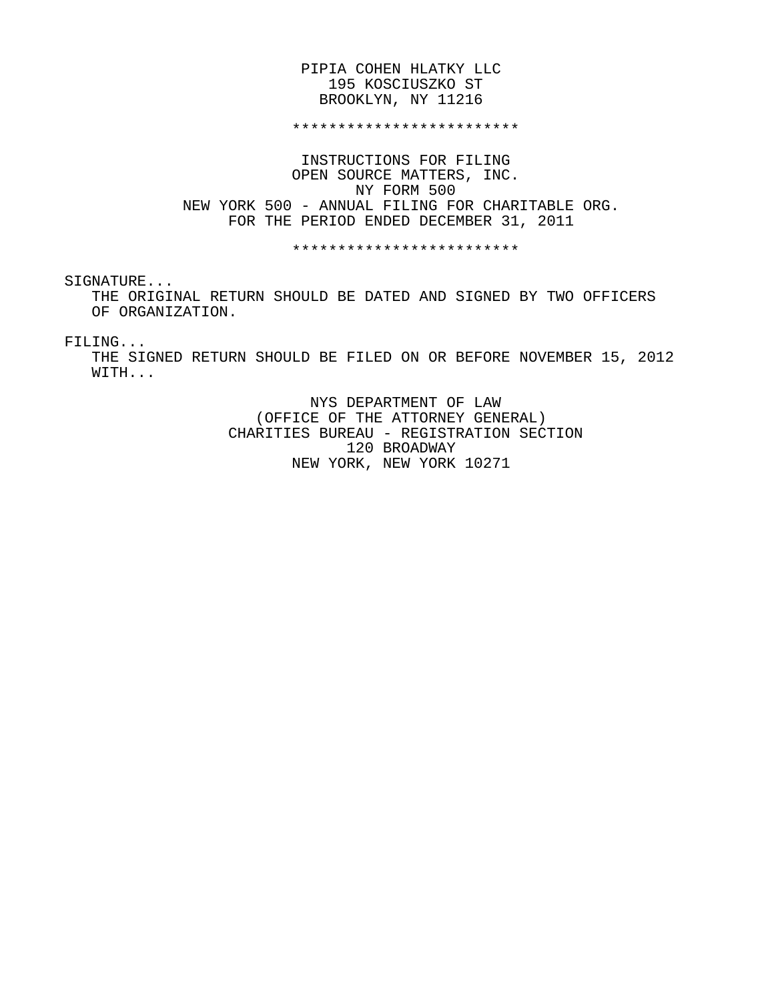#### PIPIA COHEN HLATKY LLC 195 KOSCIUSZKO ST BROOKLYN, NY 11216

#### \*\*\*\*\*\*\*\*\*\*\*\*\*\*\*\*\*\*\*\*\*\*\*\*\*

 INSTRUCTIONS FOR FILING OPEN SOURCE MATTERS, INC. NY FORM 500 NEW YORK 500 - ANNUAL FILING FOR CHARITABLE ORG. FOR THE PERIOD ENDED DECEMBER 31, 2011

\*\*\*\*\*\*\*\*\*\*\*\*\*\*\*\*\*\*\*\*\*\*\*\*\*

SIGNATURE...

 THE ORIGINAL RETURN SHOULD BE DATED AND SIGNED BY TWO OFFICERS OF ORGANIZATION.

#### FILING...

 THE SIGNED RETURN SHOULD BE FILED ON OR BEFORE NOVEMBER 15, 2012 WITH...

> NYS DEPARTMENT OF LAW (OFFICE OF THE ATTORNEY GENERAL) CHARITIES BUREAU - REGISTRATION SECTION 120 BROADWAY NEW YORK, NEW YORK 10271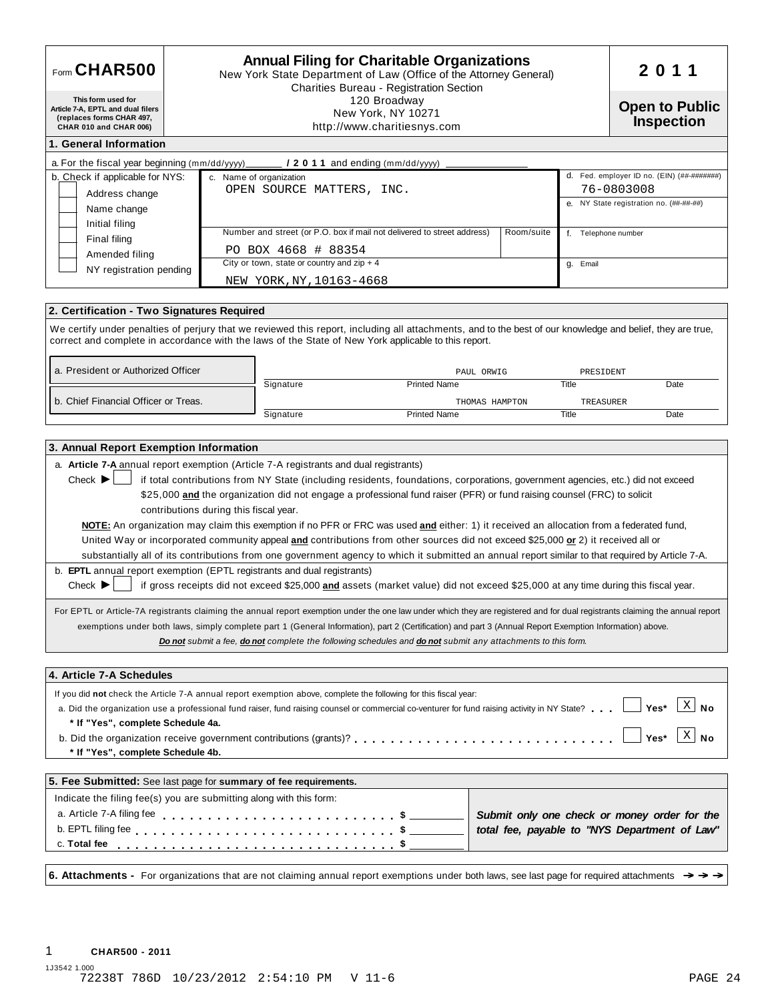| Form CHAR500                                                                                                                                                                               |                                                                   | <b>Annual Filing for Charitable Organizations</b><br>New York State Department of Law (Office of the Attorney General)<br>Charities Bureau - Registration Section |                                                                                                                                                                                                                                                                                                                                                                                                                                                                                                                                                                                                                                                                                                                                                                                                                                                                                                                                                                                                                                                                                                                                                               | 2011       |                     |                                                                                               |  |
|--------------------------------------------------------------------------------------------------------------------------------------------------------------------------------------------|-------------------------------------------------------------------|-------------------------------------------------------------------------------------------------------------------------------------------------------------------|---------------------------------------------------------------------------------------------------------------------------------------------------------------------------------------------------------------------------------------------------------------------------------------------------------------------------------------------------------------------------------------------------------------------------------------------------------------------------------------------------------------------------------------------------------------------------------------------------------------------------------------------------------------------------------------------------------------------------------------------------------------------------------------------------------------------------------------------------------------------------------------------------------------------------------------------------------------------------------------------------------------------------------------------------------------------------------------------------------------------------------------------------------------|------------|---------------------|-----------------------------------------------------------------------------------------------|--|
| This form used for<br>Article 7-A, EPTL and dual filers<br>(replaces forms CHAR 497,<br>CHAR 010 and CHAR 006)                                                                             | 120 Broadway<br>New York, NY 10271<br>http://www.charitiesnys.com |                                                                                                                                                                   |                                                                                                                                                                                                                                                                                                                                                                                                                                                                                                                                                                                                                                                                                                                                                                                                                                                                                                                                                                                                                                                                                                                                                               |            |                     |                                                                                               |  |
| 1. General Information                                                                                                                                                                     |                                                                   |                                                                                                                                                                   |                                                                                                                                                                                                                                                                                                                                                                                                                                                                                                                                                                                                                                                                                                                                                                                                                                                                                                                                                                                                                                                                                                                                                               |            |                     |                                                                                               |  |
| a. For the fiscal year beginning ( $mm/dd/yyy$ ) ________ <b>/ 2 0 1 1</b> and ending ( $mm/dd/yyy$ ) _                                                                                    |                                                                   |                                                                                                                                                                   |                                                                                                                                                                                                                                                                                                                                                                                                                                                                                                                                                                                                                                                                                                                                                                                                                                                                                                                                                                                                                                                                                                                                                               |            |                     |                                                                                               |  |
| b. Check if applicable for NYS:                                                                                                                                                            |                                                                   | c. Name of organization                                                                                                                                           |                                                                                                                                                                                                                                                                                                                                                                                                                                                                                                                                                                                                                                                                                                                                                                                                                                                                                                                                                                                                                                                                                                                                                               |            |                     | d. Fed. employer ID no. (EIN) (##-#######)                                                    |  |
| Address change                                                                                                                                                                             |                                                                   | OPEN SOURCE MATTERS, INC.                                                                                                                                         |                                                                                                                                                                                                                                                                                                                                                                                                                                                                                                                                                                                                                                                                                                                                                                                                                                                                                                                                                                                                                                                                                                                                                               |            |                     | 76-0803008<br>e. NY State registration no. (##-##-##)                                         |  |
| Name change                                                                                                                                                                                |                                                                   |                                                                                                                                                                   |                                                                                                                                                                                                                                                                                                                                                                                                                                                                                                                                                                                                                                                                                                                                                                                                                                                                                                                                                                                                                                                                                                                                                               |            |                     |                                                                                               |  |
| Initial filing                                                                                                                                                                             |                                                                   |                                                                                                                                                                   | Number and street (or P.O. box if mail not delivered to street address)                                                                                                                                                                                                                                                                                                                                                                                                                                                                                                                                                                                                                                                                                                                                                                                                                                                                                                                                                                                                                                                                                       | Room/suite | f. Telephone number |                                                                                               |  |
| Final filing<br>Amended filing                                                                                                                                                             |                                                                   | PO BOX 4668 # 88354                                                                                                                                               |                                                                                                                                                                                                                                                                                                                                                                                                                                                                                                                                                                                                                                                                                                                                                                                                                                                                                                                                                                                                                                                                                                                                                               |            |                     |                                                                                               |  |
| NY registration pending                                                                                                                                                                    |                                                                   | City or town, state or country and $zip + 4$                                                                                                                      |                                                                                                                                                                                                                                                                                                                                                                                                                                                                                                                                                                                                                                                                                                                                                                                                                                                                                                                                                                                                                                                                                                                                                               |            | g. Email            |                                                                                               |  |
|                                                                                                                                                                                            |                                                                   | NEW YORK, NY, 10163-4668                                                                                                                                          |                                                                                                                                                                                                                                                                                                                                                                                                                                                                                                                                                                                                                                                                                                                                                                                                                                                                                                                                                                                                                                                                                                                                                               |            |                     |                                                                                               |  |
|                                                                                                                                                                                            |                                                                   |                                                                                                                                                                   |                                                                                                                                                                                                                                                                                                                                                                                                                                                                                                                                                                                                                                                                                                                                                                                                                                                                                                                                                                                                                                                                                                                                                               |            |                     |                                                                                               |  |
| 2. Certification - Two Signatures Required                                                                                                                                                 |                                                                   |                                                                                                                                                                   |                                                                                                                                                                                                                                                                                                                                                                                                                                                                                                                                                                                                                                                                                                                                                                                                                                                                                                                                                                                                                                                                                                                                                               |            |                     |                                                                                               |  |
|                                                                                                                                                                                            |                                                                   |                                                                                                                                                                   | We certify under penalties of perjury that we reviewed this report, including all attachments, and to the best of our knowledge and belief, they are true,<br>correct and complete in accordance with the laws of the State of New York applicable to this report.                                                                                                                                                                                                                                                                                                                                                                                                                                                                                                                                                                                                                                                                                                                                                                                                                                                                                            |            |                     |                                                                                               |  |
| a. President or Authorized Officer                                                                                                                                                         |                                                                   |                                                                                                                                                                   | PAUL ORWIG                                                                                                                                                                                                                                                                                                                                                                                                                                                                                                                                                                                                                                                                                                                                                                                                                                                                                                                                                                                                                                                                                                                                                    |            | PRESIDENT           |                                                                                               |  |
|                                                                                                                                                                                            |                                                                   | Signature                                                                                                                                                         | <b>Printed Name</b>                                                                                                                                                                                                                                                                                                                                                                                                                                                                                                                                                                                                                                                                                                                                                                                                                                                                                                                                                                                                                                                                                                                                           |            | Title               | Date                                                                                          |  |
| b. Chief Financial Officer or Treas.                                                                                                                                                       |                                                                   |                                                                                                                                                                   | THOMAS HAMPTON                                                                                                                                                                                                                                                                                                                                                                                                                                                                                                                                                                                                                                                                                                                                                                                                                                                                                                                                                                                                                                                                                                                                                |            | TREASURER           |                                                                                               |  |
|                                                                                                                                                                                            |                                                                   | Signature                                                                                                                                                         | <b>Printed Name</b>                                                                                                                                                                                                                                                                                                                                                                                                                                                                                                                                                                                                                                                                                                                                                                                                                                                                                                                                                                                                                                                                                                                                           |            | Title               | Date                                                                                          |  |
| b. EPTL annual report exemption (EPTL registrants and dual registrants)<br>Check $\blacktriangleright$                                                                                     | contributions during this fiscal year.                            |                                                                                                                                                                   | \$25,000 and the organization did not engage a professional fund raiser (PFR) or fund raising counsel (FRC) to solicit<br>NOTE: An organization may claim this exemption if no PFR or FRC was used and either: 1) it received an allocation from a federated fund,<br>United Way or incorporated community appeal and contributions from other sources did not exceed \$25,000 or 2) it received all or<br>substantially all of its contributions from one government agency to which it submitted an annual report similar to that required by Article 7-A.<br>if gross receipts did not exceed \$25,000 and assets (market value) did not exceed \$25,000 at any time during this fiscal year.<br>For EPTL or Article-7A registrants claiming the annual report exemption under the one law under which they are registered and for dual registrants claiming the annual report<br>exemptions under both laws, simply complete part 1 (General Information), part 2 (Certification) and part 3 (Annual Report Exemption Information) above.<br>Do not submit a fee, do not complete the following schedules and do not submit any attachments to this form. |            |                     |                                                                                               |  |
| 4. Article 7-A Schedules                                                                                                                                                                   |                                                                   |                                                                                                                                                                   |                                                                                                                                                                                                                                                                                                                                                                                                                                                                                                                                                                                                                                                                                                                                                                                                                                                                                                                                                                                                                                                                                                                                                               |            |                     |                                                                                               |  |
| If you did not check the Article 7-A annual report exemption above, complete the following for this fiscal year:<br>* If "Yes", complete Schedule 4a.<br>* If "Yes", complete Schedule 4b. |                                                                   |                                                                                                                                                                   | a. Did the organization use a professional fund raiser, fund raising counsel or commercial co-venturer for fund raising activity in NY State?                                                                                                                                                                                                                                                                                                                                                                                                                                                                                                                                                                                                                                                                                                                                                                                                                                                                                                                                                                                                                 |            |                     | $X \mid No$<br>Yes*<br>$X \mid N_{0}$<br>Yes*                                                 |  |
| 5. Fee Submitted: See last page for summary of fee requirements.                                                                                                                           |                                                                   |                                                                                                                                                                   |                                                                                                                                                                                                                                                                                                                                                                                                                                                                                                                                                                                                                                                                                                                                                                                                                                                                                                                                                                                                                                                                                                                                                               |            |                     |                                                                                               |  |
| Indicate the filing fee(s) you are submitting along with this form:                                                                                                                        |                                                                   |                                                                                                                                                                   |                                                                                                                                                                                                                                                                                                                                                                                                                                                                                                                                                                                                                                                                                                                                                                                                                                                                                                                                                                                                                                                                                                                                                               |            |                     |                                                                                               |  |
| a. Article 7-A filing fee<br>c. Total fee                                                                                                                                                  |                                                                   |                                                                                                                                                                   |                                                                                                                                                                                                                                                                                                                                                                                                                                                                                                                                                                                                                                                                                                                                                                                                                                                                                                                                                                                                                                                                                                                                                               |            |                     | Submit only one check or money order for the<br>total fee, payable to "NYS Department of Law" |  |
|                                                                                                                                                                                            |                                                                   |                                                                                                                                                                   |                                                                                                                                                                                                                                                                                                                                                                                                                                                                                                                                                                                                                                                                                                                                                                                                                                                                                                                                                                                                                                                                                                                                                               |            |                     |                                                                                               |  |